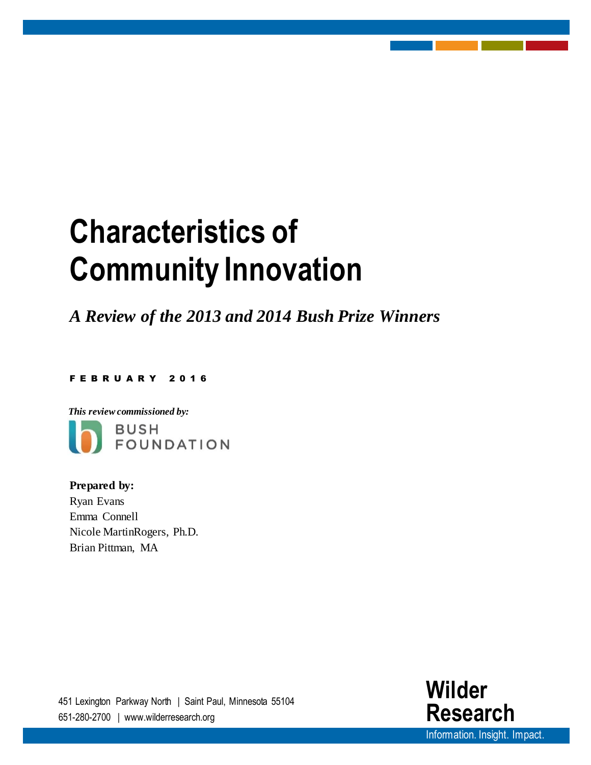# **Characteristics of Community Innovation**

*A Review of the 2013 and 2014 Bush Prize Winners*

F E B R U A R Y 201 6



**Prepared by:**  Ryan Evans Emma Connell Nicole MartinRogers, Ph.D. Brian Pittman, MA

451 Lexington Parkway North | Saint Paul, Minnesota 55104 651-280-2700 | www.wilderresearch.org

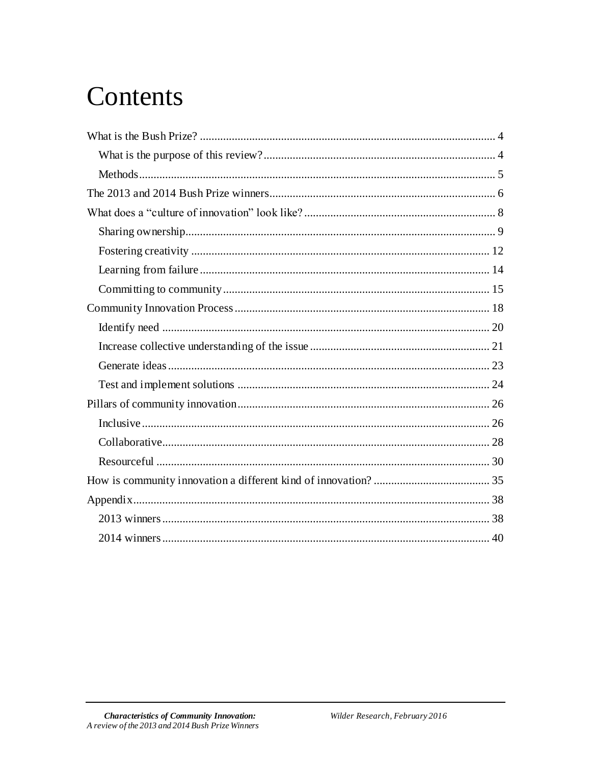## Contents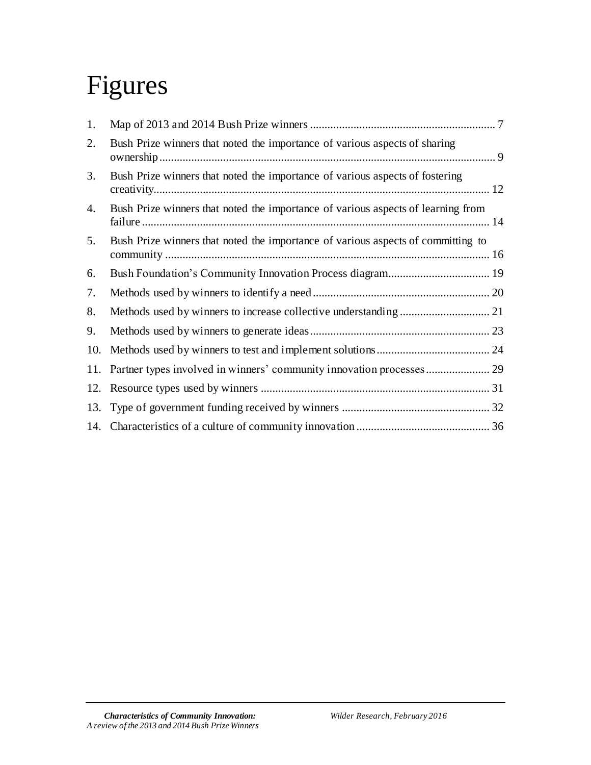# Figures

| 1.  |                                                                                  |
|-----|----------------------------------------------------------------------------------|
| 2.  | Bush Prize winners that noted the importance of various aspects of sharing       |
| 3.  | Bush Prize winners that noted the importance of various aspects of fostering     |
| 4.  | Bush Prize winners that noted the importance of various aspects of learning from |
| 5.  | Bush Prize winners that noted the importance of various aspects of committing to |
| 6.  |                                                                                  |
| 7.  |                                                                                  |
| 8.  |                                                                                  |
| 9.  |                                                                                  |
| 10. |                                                                                  |
|     |                                                                                  |
|     |                                                                                  |
|     |                                                                                  |
|     |                                                                                  |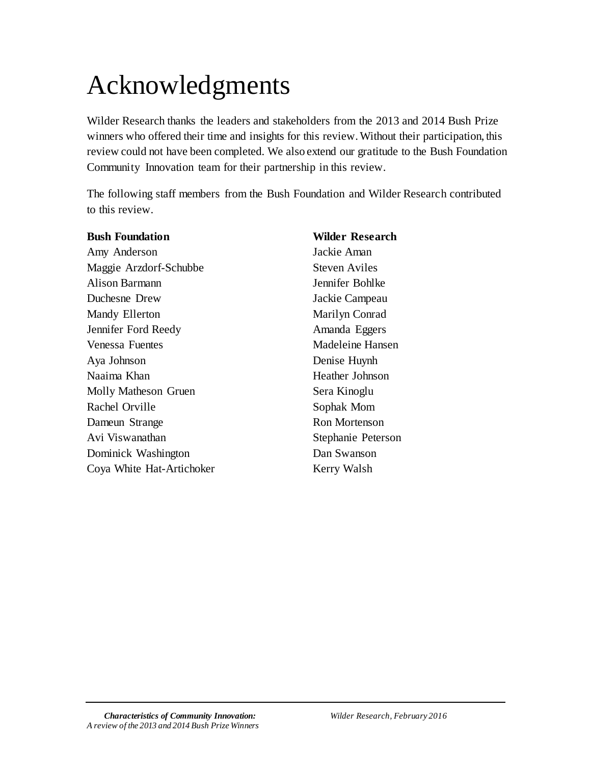# Acknowledgments

Wilder Research thanks the leaders and stakeholders from the 2013 and 2014 Bush Prize winners who offered their time and insights for this review. Without their participation, this review could not have been completed. We also extend our gratitude to the Bush Foundation Community Innovation team for their partnership in this review.

The following staff members from the Bush Foundation and Wilder Research contributed to this review.

| <b>Bush Foundation</b>    | <b>Wilder Research</b> |
|---------------------------|------------------------|
| Amy Anderson              | Jackie Aman            |
| Maggie Arzdorf-Schubbe    | <b>Steven Aviles</b>   |
| <b>Alison Barmann</b>     | Jennifer Bohlke        |
| Duchesne Drew             | Jackie Campeau         |
| Mandy Ellerton            | Marilyn Conrad         |
| Jennifer Ford Reedy       | Amanda Eggers          |
| Venessa Fuentes           | Madeleine Hansen       |
| Aya Johnson               | Denise Huynh           |
| Naaima Khan               | Heather Johnson        |
| Molly Matheson Gruen      | Sera Kinoglu           |
| Rachel Orville            | Sophak Mom             |
| Dameun Strange            | <b>Ron Mortenson</b>   |
| Avi Viswanathan           | Stephanie Peterson     |
| Dominick Washington       | Dan Swanson            |
| Coya White Hat-Artichoker | Kerry Walsh            |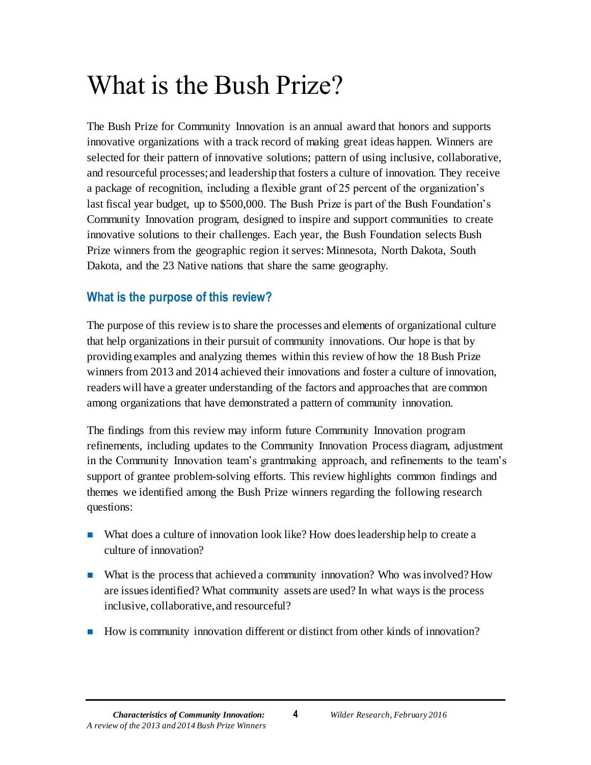# <span id="page-4-0"></span>What is the Bush Prize?

The Bush Prize for Community Innovation is an annual award that honors and supports innovative organizations with a track record of making great ideas happen. Winners are selected for their pattern of innovative solutions; pattern of using inclusive, collaborative, and resourceful processes; and leadership that fosters a culture of innovation. They receive a package of recognition, including a flexible grant of 25 percent of the organization's last fiscal year budget, up to \$500,000. The Bush Prize is part of the Bush Foundation's Community Innovation program, designed to inspire and support communities to create innovative solutions to their challenges. Each year, the Bush Foundation selects Bush Prize winners from the geographic region it serves: Minnesota, North Dakota, South Dakota, and the 23 Native nations that share the same geography.

## <span id="page-4-1"></span>**What is the purpose of this review?**

The purpose of this review is to share the processes and elements of organizational culture that help organizations in their pursuit of community innovations. Our hope is that by providing examples and analyzing themes within this review of how the 18 Bush Prize winners from 2013 and 2014 achieved their innovations and foster a culture of innovation, readers will have a greater understanding of the factors and approaches that are common among organizations that have demonstrated a pattern of community innovation.

The findings from this review may inform future Community Innovation program refinements, including updates to the Community Innovation Process diagram, adjustment in the Community Innovation team's grantmaking approach, and refinements to the team's support of grantee problem-solving efforts. This review highlights common findings and themes we identified among the Bush Prize winners regarding the following research questions:

- What does a culture of innovation look like? How does leadership help to create a culture of innovation?
- What is the process that achieved a community innovation? Who was involved? How are issues identified? What community assets are used? In what ways is the process inclusive, collaborative, and resourceful?
- How is community innovation different or distinct from other kinds of innovation?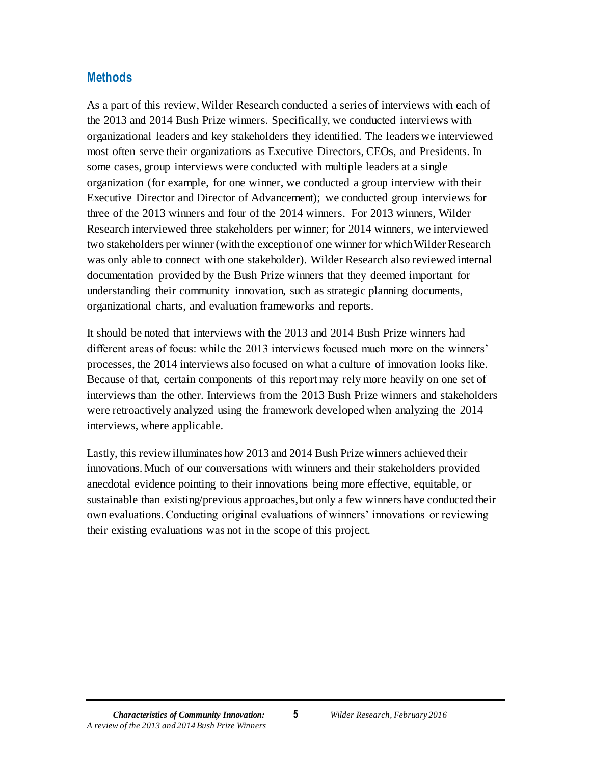## <span id="page-5-0"></span>**Methods**

As a part of this review, Wilder Research conducted a series of interviews with each of the 2013 and 2014 Bush Prize winners. Specifically, we conducted interviews with organizational leaders and key stakeholders they identified. The leaders we interviewed most often serve their organizations as Executive Directors, CEOs, and Presidents. In some cases, group interviews were conducted with multiple leaders at a single organization (for example, for one winner, we conducted a group interview with their Executive Director and Director of Advancement); we conducted group interviews for three of the 2013 winners and four of the 2014 winners. For 2013 winners, Wilder Research interviewed three stakeholders per winner; for 2014 winners, we interviewed two stakeholders per winner (with the exception of one winner for whichWilder Research was only able to connect with one stakeholder). Wilder Research also reviewed internal documentation provided by the Bush Prize winners that they deemed important for understanding their community innovation, such as strategic planning documents, organizational charts, and evaluation frameworks and reports.

It should be noted that interviews with the 2013 and 2014 Bush Prize winners had different areas of focus: while the 2013 interviews focused much more on the winners' processes, the 2014 interviews also focused on what a culture of innovation looks like. Because of that, certain components of this report may rely more heavily on one set of interviews than the other. Interviews from the 2013 Bush Prize winners and stakeholders were retroactively analyzed using the framework developed when analyzing the 2014 interviews, where applicable.

Lastly, this review illuminates how 2013 and 2014 Bush Prize winners achieved their innovations. Much of our conversations with winners and their stakeholders provided anecdotal evidence pointing to their innovations being more effective, equitable, or sustainable than existing/previous approaches, but only a few winners have conducted their own evaluations.Conducting original evaluations of winners' innovations or reviewing their existing evaluations was not in the scope of this project.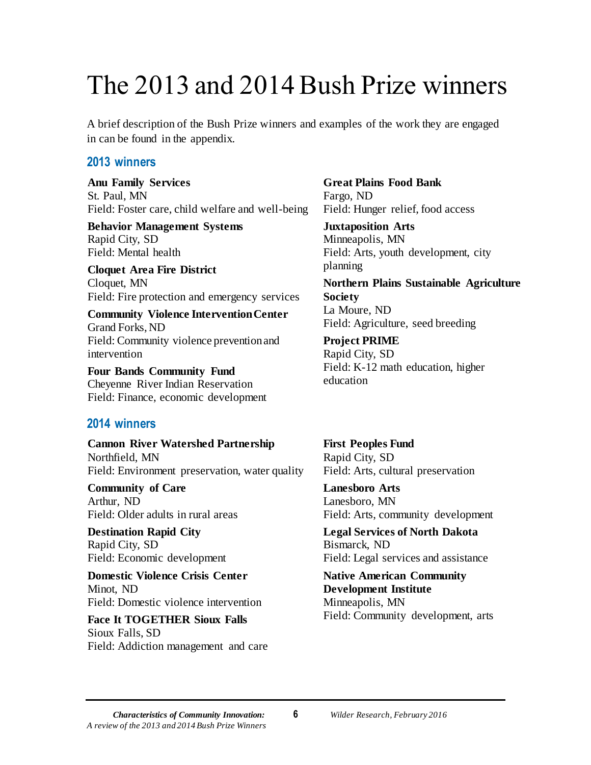## <span id="page-6-0"></span>The 2013 and 2014 Bush Prize winners

A brief description of the Bush Prize winners and examples of the work they are engaged in can be found in the appendix.

### **2013 winners**

**Anu Family Services**  St. Paul, MN Field: Foster care, child welfare and well-being

**Behavior Management Systems** Rapid City, SD Field: Mental health

**Cloquet Area Fire District** Cloquet, MN Field: Fire protection and emergency services

**Community Violence Intervention Center** Grand Forks, ND Field: Community violence prevention and intervention

**Four Bands Community Fund**  Cheyenne River Indian Reservation Field: Finance, economic development

## **2014 winners**

**Cannon River Watershed Partnership** Northfield, MN Field: Environment preservation, water quality

**Community of Care** Arthur, ND Field: Older adults in rural areas

**Destination Rapid City** Rapid City, SD Field: Economic development

**Domestic Violence Crisis Center** Minot, ND Field: Domestic violence intervention

**Face It TOGETHER Sioux Falls** Sioux Falls, SD Field: Addiction management and care **Great Plains Food Bank**  Fargo, ND Field: Hunger relief, food access

**Juxtaposition Arts** Minneapolis, MN Field: Arts, youth development, city planning

**Northern Plains Sustainable Agriculture Society** La Moure, ND Field: Agriculture, seed breeding

**Project PRIME** Rapid City, SD Field: K-12 math education, higher education

**First Peoples Fund** Rapid City, SD Field: Arts, cultural preservation

**Lanesboro Arts** Lanesboro, MN Field: Arts, community development

**Legal Services of North Dakota** Bismarck, ND Field: Legal services and assistance

**Native American Community Development Institute** Minneapolis, MN Field: Community development, arts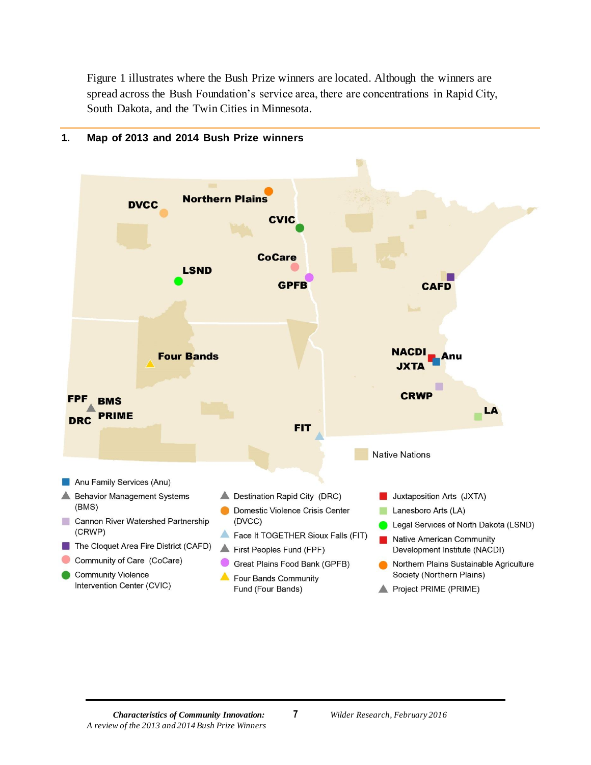Figure 1 illustrates where the Bush Prize winners are located. Although the winners are spread across the Bush Foundation's service area, there are concentrations in Rapid City, South Dakota, and the Twin Cities in Minnesota.



#### <span id="page-7-0"></span>**1. Map of 2013 and 2014 Bush Prize winners**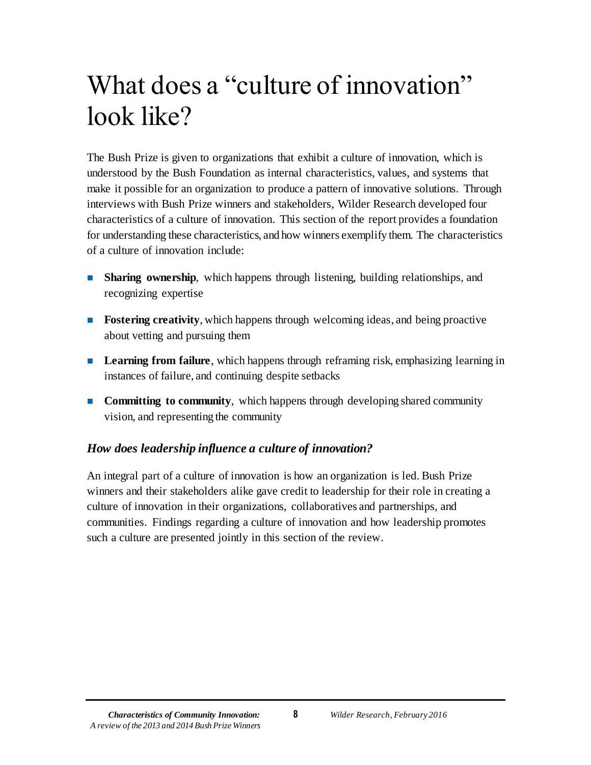# <span id="page-8-0"></span>What does a "culture of innovation" look like?

The Bush Prize is given to organizations that exhibit a culture of innovation, which is understood by the Bush Foundation as internal characteristics, values, and systems that make it possible for an organization to produce a pattern of innovative solutions. Through interviews with Bush Prize winners and stakeholders, Wilder Research developed four characteristics of a culture of innovation. This section of the report provides a foundation for understanding these characteristics, and how winners exemplify them. The characteristics of a culture of innovation include:

- **Sharing ownership**, which happens through listening, building relationships, and recognizing expertise
- **Fostering creativity**, which happens through welcoming ideas, and being proactive about vetting and pursuing them
- **Learning from failure**, which happens through reframing risk, emphasizing learning in instances of failure, and continuing despite setbacks
- **Committing to community**, which happens through developing shared community vision, and representing the community

## *How does leadership influence a culture of innovation?*

An integral part of a culture of innovation is how an organization is led. Bush Prize winners and their stakeholders alike gave credit to leadership for their role in creating a culture of innovation in their organizations, collaboratives and partnerships, and communities. Findings regarding a culture of innovation and how leadership promotes such a culture are presented jointly in this section of the review.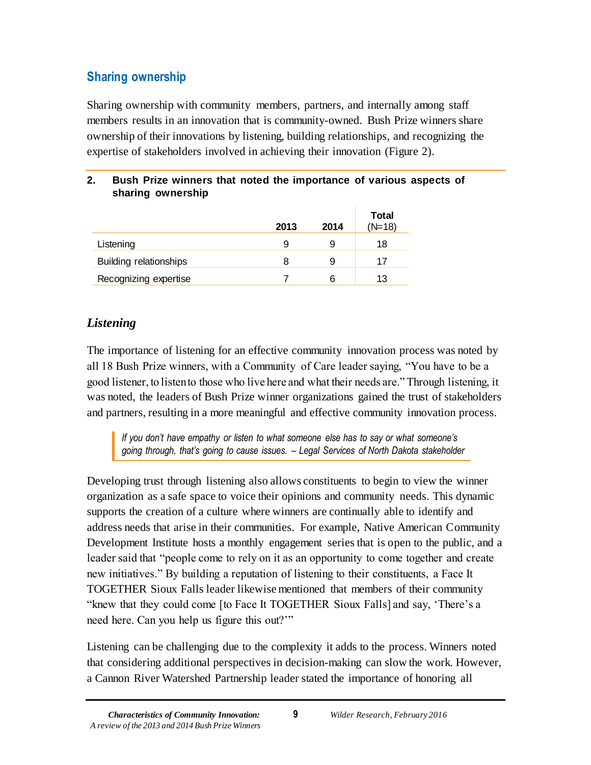## <span id="page-9-0"></span>**Sharing ownership**

Sharing ownership with community members, partners, and internally among staff members results in an innovation that is community-owned. Bush Prize winners share ownership of their innovations by listening, building relationships, and recognizing the expertise of stakeholders involved in achieving their innovation (Figure 2).

| sharing ownership      |      |      |                          |
|------------------------|------|------|--------------------------|
|                        | 2013 | 2014 | <b>Total</b><br>$(N=18)$ |
| Listening              | 9    | 9    | 18                       |
| Building relationships | 8    | 9    | 17                       |
| Recognizing expertise  |      | 6    | 13                       |

## <span id="page-9-1"></span>**2. Bush Prize winners that noted the importance of various aspects of**

## *Listening*

The importance of listening for an effective community innovation process was noted by all 18 Bush Prize winners, with a Community of Care leader saying, "You have to be a good listener, to listen to those who live here and what their needs are." Through listening, it was noted, the leaders of Bush Prize winner organizations gained the trust of stakeholders and partners, resulting in a more meaningful and effective community innovation process.

*If you don't have empathy or listen to what someone else has to say or what someone's going through, that's going to cause issues. – Legal Services of North Dakota stakeholder*

Developing trust through listening also allows constituents to begin to view the winner organization as a safe space to voice their opinions and community needs. This dynamic supports the creation of a culture where winners are continually able to identify and address needs that arise in their communities. For example, Native American Community Development Institute hosts a monthly engagement series that is open to the public, and a leader said that "people come to rely on it as an opportunity to come together and create new initiatives." By building a reputation of listening to their constituents, a Face It TOGETHER Sioux Falls leader likewise mentioned that members of their community "knew that they could come [to Face It TOGETHER Sioux Falls] and say, 'There's a need here. Can you help us figure this out?'"

Listening can be challenging due to the complexity it adds to the process. Winners noted that considering additional perspectives in decision-making can slow the work. However, a Cannon River Watershed Partnership leader stated the importance of honoring all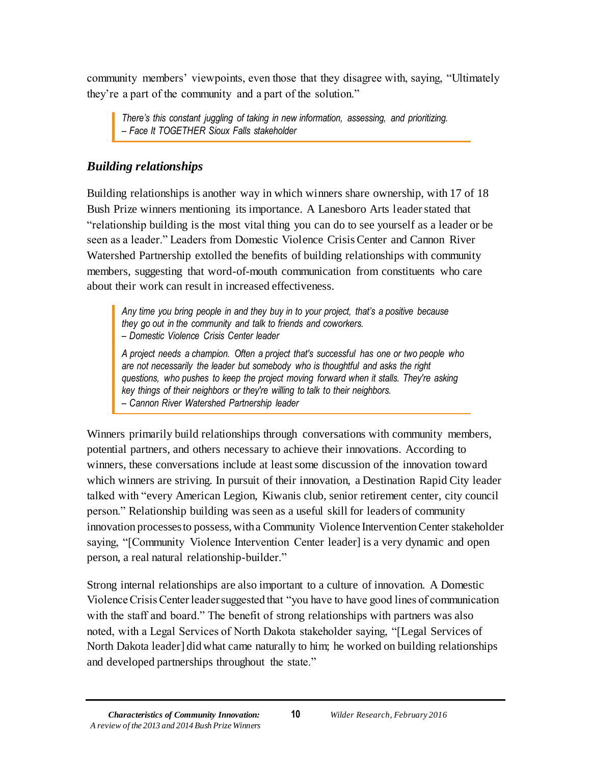community members' viewpoints, even those that they disagree with, saying, "Ultimately they're a part of the community and a part of the solution."

*There's this constant juggling of taking in new information, assessing, and prioritizing. – Face It TOGETHER Sioux Falls stakeholder*

## *Building relationships*

Building relationships is another way in which winners share ownership, with 17 of 18 Bush Prize winners mentioning its importance. A Lanesboro Arts leader stated that "relationship building is the most vital thing you can do to see yourself as a leader or be seen as a leader." Leaders from Domestic Violence Crisis Center and Cannon River Watershed Partnership extolled the benefits of building relationships with community members, suggesting that word-of-mouth communication from constituents who care about their work can result in increased effectiveness.

*Any time you bring people in and they buy in to your project, that's a positive because they go out in the community and talk to friends and coworkers. – Domestic Violence Crisis Center leader* 

*A project needs a champion. Often a project that's successful has one or two people who are not necessarily the leader but somebody who is thoughtful and asks the right questions, who pushes to keep the project moving forward when it stalls. They're asking key things of their neighbors or they're willing to talk to their neighbors. – Cannon River Watershed Partnership leader*

Winners primarily build relationships through conversations with community members, potential partners, and others necessary to achieve their innovations. According to winners, these conversations include at least some discussion of the innovation toward which winners are striving. In pursuit of their innovation, a Destination Rapid City leader talked with "every American Legion, Kiwanis club, senior retirement center, city council person." Relationship building was seen as a useful skill for leaders of community innovation processes to possess, with a Community Violence Intervention Center stakeholder saying, "[Community Violence Intervention Center leader] is a very dynamic and open person, a real natural relationship-builder."

Strong internal relationships are also important to a culture of innovation. A Domestic Violence Crisis Center leader suggested that "you have to have good lines of communication with the staff and board." The benefit of strong relationships with partners was also noted, with a Legal Services of North Dakota stakeholder saying, "[Legal Services of North Dakota leader] did what came naturally to him; he worked on building relationships and developed partnerships throughout the state."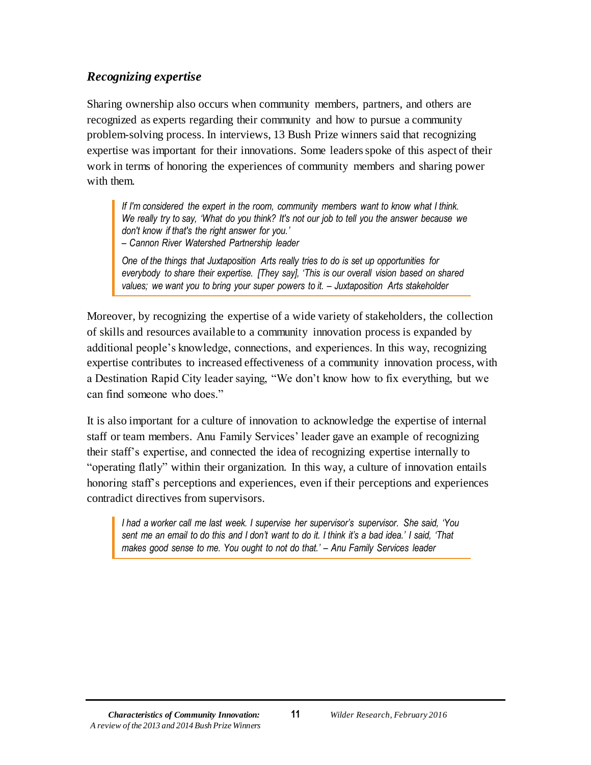### *Recognizing expertise*

Sharing ownership also occurs when community members, partners, and others are recognized as experts regarding their community and how to pursue a community problem-solving process. In interviews, 13 Bush Prize winners said that recognizing expertise was important for their innovations. Some leaders spoke of this aspect of their work in terms of honoring the experiences of community members and sharing power with them.

*If I'm considered the expert in the room, community members want to know what I think. We really try to say, 'What do you think? It's not our job to tell you the answer because we don't know if that's the right answer for you.'* 

*– Cannon River Watershed Partnership leader*

*One of the things that Juxtaposition Arts really tries to do is set up opportunities for everybody to share their expertise. [They say], 'This is our overall vision based on shared values; we want you to bring your super powers to it. – Juxtaposition Arts stakeholder*

Moreover, by recognizing the expertise of a wide variety of stakeholders, the collection of skills and resources available to a community innovation process is expanded by additional people's knowledge, connections, and experiences. In this way, recognizing expertise contributes to increased effectiveness of a community innovation process, with a Destination Rapid City leader saying, "We don't know how to fix everything, but we can find someone who does."

It is also important for a culture of innovation to acknowledge the expertise of internal staff or team members. Anu Family Services' leader gave an example of recognizing their staff's expertise, and connected the idea of recognizing expertise internally to "operating flatly" within their organization. In this way, a culture of innovation entails honoring staff's perceptions and experiences, even if their perceptions and experiences contradict directives from supervisors.

*I had a worker call me last week. I supervise her supervisor's supervisor. She said, 'You sent me an email to do this and I don't want to do it. I think it's a bad idea.' I said, 'That makes good sense to me. You ought to not do that.' – Anu Family Services leader*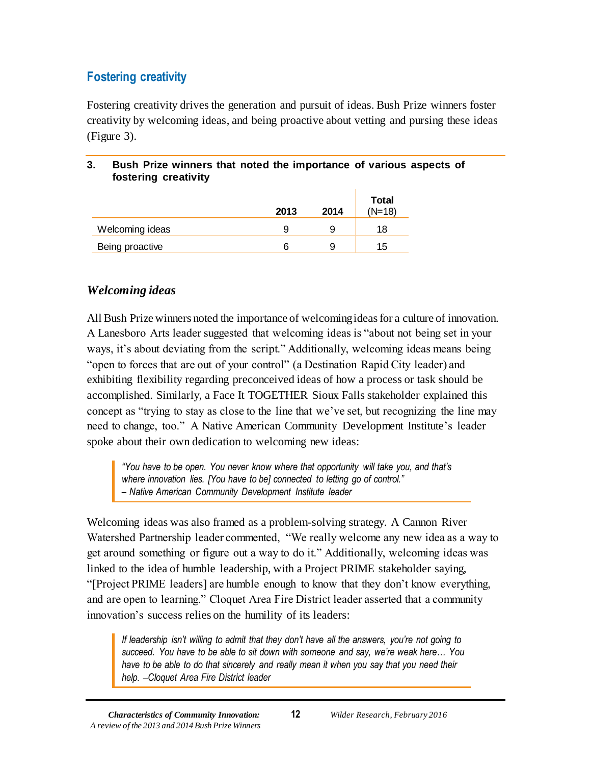## <span id="page-12-0"></span>**Fostering creativity**

Fostering creativity drives the generation and pursuit of ideas. Bush Prize winners foster creativity by welcoming ideas, and being proactive about vetting and pursing these ideas (Figure 3).

#### <span id="page-12-1"></span>**3. Bush Prize winners that noted the importance of various aspects of fostering creativity**

|                 | 2013 | 2014 | <b>Total</b><br>$(N=18)$ |
|-----------------|------|------|--------------------------|
| Welcoming ideas | 9    | 9    | 18                       |
| Being proactive | ิค   | 9    | 15                       |

## *Welcoming ideas*

All Bush Prize winners noted the importance of welcoming ideas for a culture of innovation. A Lanesboro Arts leader suggested that welcoming ideas is "about not being set in your ways, it's about deviating from the script." Additionally, welcoming ideas means being "open to forces that are out of your control" (a Destination Rapid City leader) and exhibiting flexibility regarding preconceived ideas of how a process or task should be accomplished. Similarly, a Face It TOGETHER Sioux Falls stakeholder explained this concept as "trying to stay as close to the line that we've set, but recognizing the line may need to change, too." A Native American Community Development Institute's leader spoke about their own dedication to welcoming new ideas:

*"You have to be open. You never know where that opportunity will take you, and that's where innovation lies. [You have to be] connected to letting go of control." – Native American Community Development Institute leader*

Welcoming ideas was also framed as a problem-solving strategy. A Cannon River Watershed Partnership leader commented, "We really welcome any new idea as a way to get around something or figure out a way to do it." Additionally, welcoming ideas was linked to the idea of humble leadership, with a Project PRIME stakeholder saying, "[Project PRIME leaders] are humble enough to know that they don't know everything, and are open to learning." Cloquet Area Fire District leader asserted that a community innovation's success relies on the humility of its leaders:

*If leadership isn't willing to admit that they don't have all the answers, you're not going to succeed. You have to be able to sit down with someone and say, we're weak here… You have to be able to do that sincerely and really mean it when you say that you need their help. –Cloquet Area Fire District leader*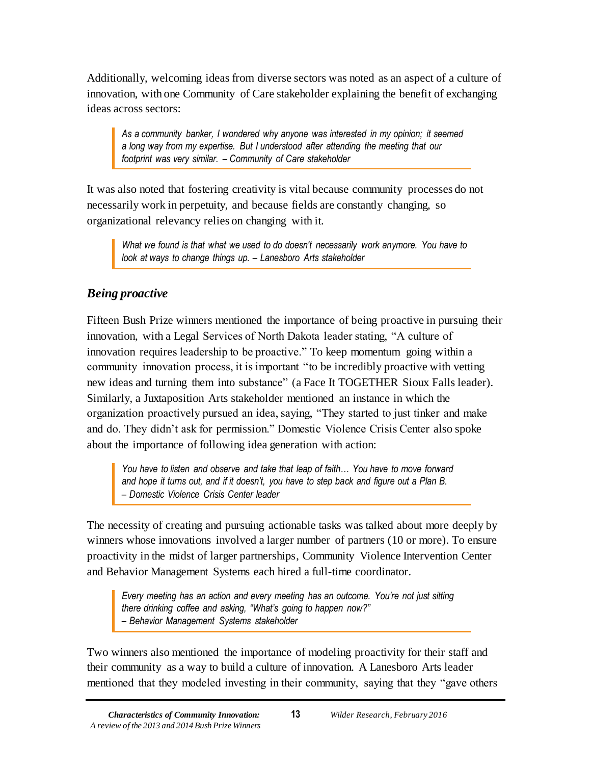Additionally, welcoming ideas from diverse sectors was noted as an aspect of a culture of innovation, with one Community of Care stakeholder explaining the benefit of exchanging ideas across sectors:

*As a community banker, I wondered why anyone was interested in my opinion; it seemed a long way from my expertise. But I understood after attending the meeting that our footprint was very similar. – Community of Care stakeholder*

It was also noted that fostering creativity is vital because community processes do not necessarily work in perpetuity, and because fields are constantly changing, so organizational relevancy relies on changing with it.

*What we found is that what we used to do doesn't necessarily work anymore. You have to look at ways to change things up. – Lanesboro Arts stakeholder*

## *Being proactive*

Fifteen Bush Prize winners mentioned the importance of being proactive in pursuing their innovation, with a Legal Services of North Dakota leader stating, "A culture of innovation requires leadership to be proactive." To keep momentum going within a community innovation process, it is important "to be incredibly proactive with vetting new ideas and turning them into substance" (a Face It TOGETHER Sioux Falls leader). Similarly, a Juxtaposition Arts stakeholder mentioned an instance in which the organization proactively pursued an idea, saying, "They started to just tinker and make and do. They didn't ask for permission." Domestic Violence Crisis Center also spoke about the importance of following idea generation with action:

*You have to listen and observe and take that leap of faith… You have to move forward and hope it turns out, and if it doesn't, you have to step back and figure out a Plan B. – Domestic Violence Crisis Center leader*

The necessity of creating and pursuing actionable tasks was talked about more deeply by winners whose innovations involved a larger number of partners (10 or more). To ensure proactivity in the midst of larger partnerships, Community Violence Intervention Center and Behavior Management Systems each hired a full-time coordinator.

*Every meeting has an action and every meeting has an outcome. You're not just sitting there drinking coffee and asking, "What's going to happen now?" – Behavior Management Systems stakeholder*

Two winners also mentioned the importance of modeling proactivity for their staff and their community as a way to build a culture of innovation. A Lanesboro Arts leader mentioned that they modeled investing in their community, saying that they "gave others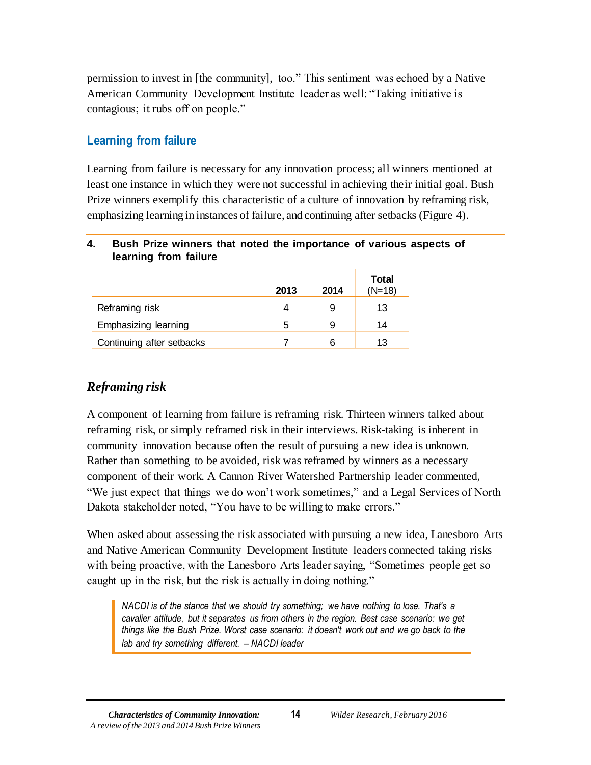permission to invest in [the community], too." This sentiment was echoed by a Native American Community Development Institute leader as well: "Taking initiative is contagious; it rubs off on people."

## <span id="page-14-0"></span>**Learning from failure**

Learning from failure is necessary for any innovation process; all winners mentioned at least one instance in which they were not successful in achieving their initial goal. Bush Prize winners exemplify this characteristic of a culture of innovation by reframing risk, emphasizing learning in instances of failure, and continuing after setbacks (Figure 4).

#### <span id="page-14-1"></span>**4. Bush Prize winners that noted the importance of various aspects of learning from failure**

|                           | 2013 | 2014 | <b>Total</b><br>$(N=18)$ |
|---------------------------|------|------|--------------------------|
| Reframing risk            |      | 9    | 13                       |
| Emphasizing learning      | 5    | 9    | 14                       |
| Continuing after setbacks |      | 6    | 13                       |

## *Reframing risk*

A component of learning from failure is reframing risk. Thirteen winners talked about reframing risk, or simply reframed risk in their interviews. Risk-taking is inherent in community innovation because often the result of pursuing a new idea is unknown. Rather than something to be avoided, risk was reframed by winners as a necessary component of their work. A Cannon River Watershed Partnership leader commented, "We just expect that things we do won't work sometimes," and a Legal Services of North Dakota stakeholder noted, "You have to be willing to make errors."

When asked about assessing the risk associated with pursuing a new idea, Lanesboro Arts and Native American Community Development Institute leaders connected taking risks with being proactive, with the Lanesboro Arts leader saying, "Sometimes people get so caught up in the risk, but the risk is actually in doing nothing."

*NACDI is of the stance that we should try something; we have nothing to lose. That's a cavalier attitude, but it separates us from others in the region. Best case scenario: we get things like the Bush Prize. Worst case scenario: it doesn't work out and we go back to the lab and try something different. – NACDI leader*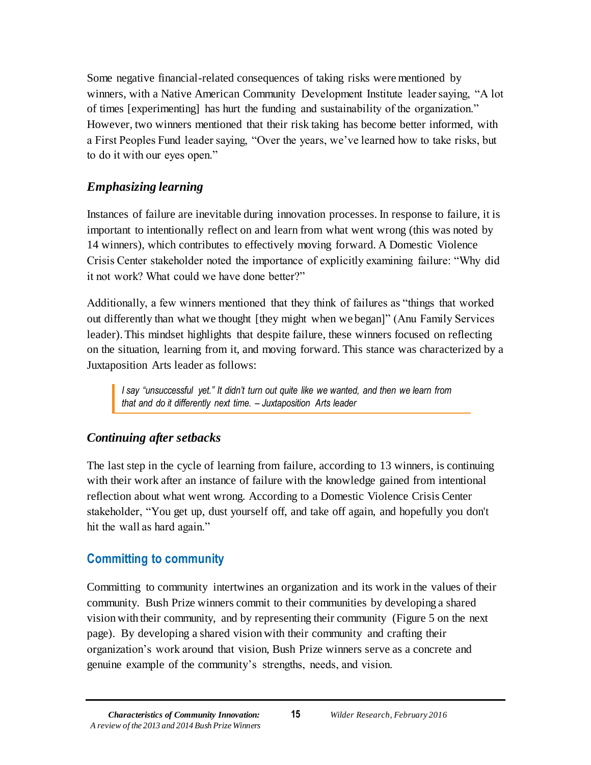Some negative financial-related consequences of taking risks were mentioned by winners, with a Native American Community Development Institute leader saying, "A lot of times [experimenting] has hurt the funding and sustainability of the organization." However, two winners mentioned that their risk taking has become better informed, with a First Peoples Fund leader saying, "Over the years, we've learned how to take risks, but to do it with our eyes open."

### *Emphasizing learning*

Instances of failure are inevitable during innovation processes. In response to failure, it is important to intentionally reflect on and learn from what went wrong (this was noted by 14 winners), which contributes to effectively moving forward. A Domestic Violence Crisis Center stakeholder noted the importance of explicitly examining failure: "Why did it not work? What could we have done better?"

Additionally, a few winners mentioned that they think of failures as "things that worked out differently than what we thought [they might when we began]" (Anu Family Services leader). This mindset highlights that despite failure, these winners focused on reflecting on the situation, learning from it, and moving forward. This stance was characterized by a Juxtaposition Arts leader as follows:

*I say "unsuccessful yet." It didn't turn out quite like we wanted, and then we learn from that and do it differently next time. – Juxtaposition Arts leader*

#### *Continuing after setbacks*

The last step in the cycle of learning from failure, according to 13 winners, is continuing with their work after an instance of failure with the knowledge gained from intentional reflection about what went wrong. According to a Domestic Violence Crisis Center stakeholder, "You get up, dust yourself off, and take off again, and hopefully you don't hit the wall as hard again."

## <span id="page-15-0"></span>**Committing to community**

Committing to community intertwines an organization and its work in the values of their community. Bush Prize winners commit to their communities by developing a shared vision with their community, and by representing their community (Figure 5 on the next page). By developing a shared vision with their community and crafting their organization's work around that vision, Bush Prize winners serve as a concrete and genuine example of the community's strengths, needs, and vision.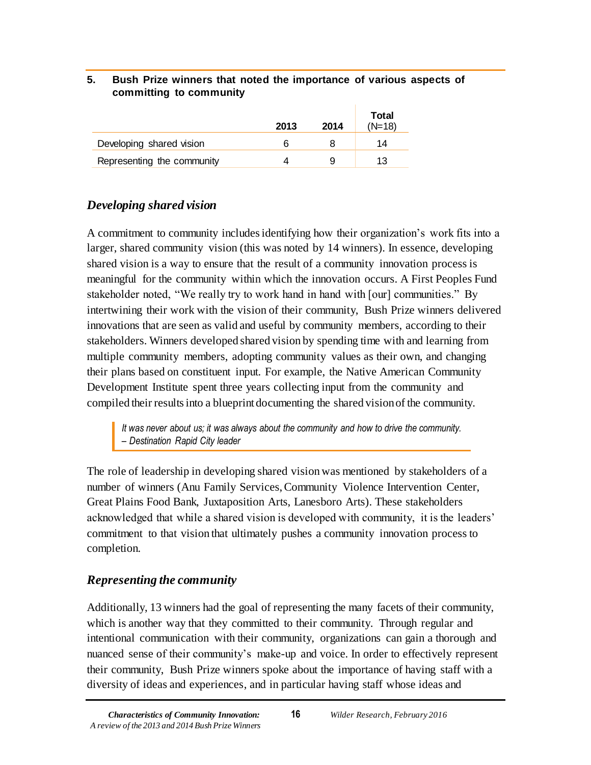#### <span id="page-16-0"></span>**5. Bush Prize winners that noted the importance of various aspects of committing to community**

|                            | 2013 | 2014 | Total<br>$(N=18)$ |
|----------------------------|------|------|-------------------|
| Developing shared vision   | h    |      | 14                |
| Representing the community |      |      | 13.               |

## *Developing shared vision*

A commitment to community includes identifying how their organization's work fits into a larger, shared community vision (this was noted by 14 winners). In essence, developing shared vision is a way to ensure that the result of a community innovation process is meaningful for the community within which the innovation occurs. A First Peoples Fund stakeholder noted, "We really try to work hand in hand with [our] communities." By intertwining their work with the vision of their community, Bush Prize winners delivered innovations that are seen as valid and useful by community members, according to their stakeholders. Winners developed shared vision by spending time with and learning from multiple community members, adopting community values as their own, and changing their plans based on constituent input. For example, the Native American Community Development Institute spent three years collecting input from the community and compiled their results into a blueprint documenting the shared vision of the community.

*It was never about us; it was always about the community and how to drive the community. – Destination Rapid City leader*

The role of leadership in developing shared vision was mentioned by stakeholders of a number of winners (Anu Family Services, Community Violence Intervention Center, Great Plains Food Bank, Juxtaposition Arts, Lanesboro Arts). These stakeholders acknowledged that while a shared vision is developed with community, it is the leaders' commitment to that vision that ultimately pushes a community innovation process to completion.

## *Representing the community*

Additionally, 13 winners had the goal of representing the many facets of their community, which is another way that they committed to their community. Through regular and intentional communication with their community, organizations can gain a thorough and nuanced sense of their community's make-up and voice. In order to effectively represent their community, Bush Prize winners spoke about the importance of having staff with a diversity of ideas and experiences, and in particular having staff whose ideas and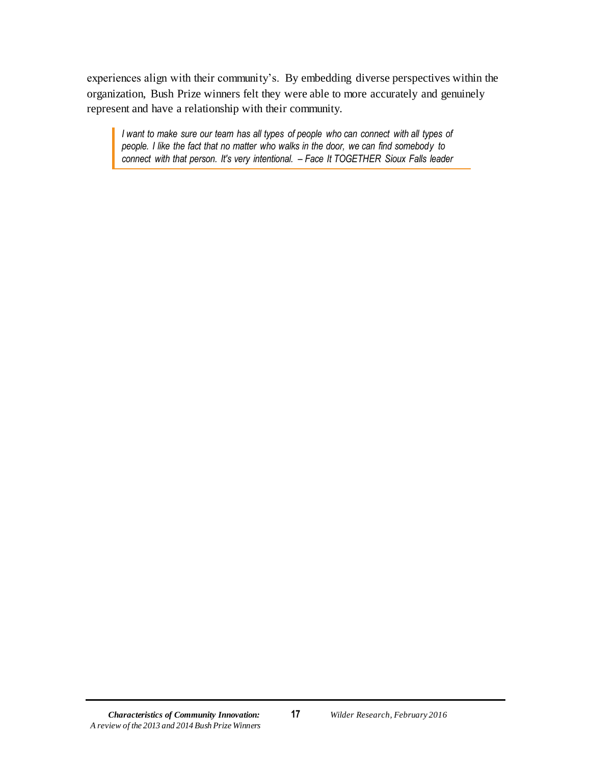experiences align with their community's. By embedding diverse perspectives within the organization, Bush Prize winners felt they were able to more accurately and genuinely represent and have a relationship with their community.

*I want to make sure our team has all types of people who can connect with all types of people. I like the fact that no matter who walks in the door, we can find somebody to connect with that person. It's very intentional. – Face It TOGETHER Sioux Falls leader*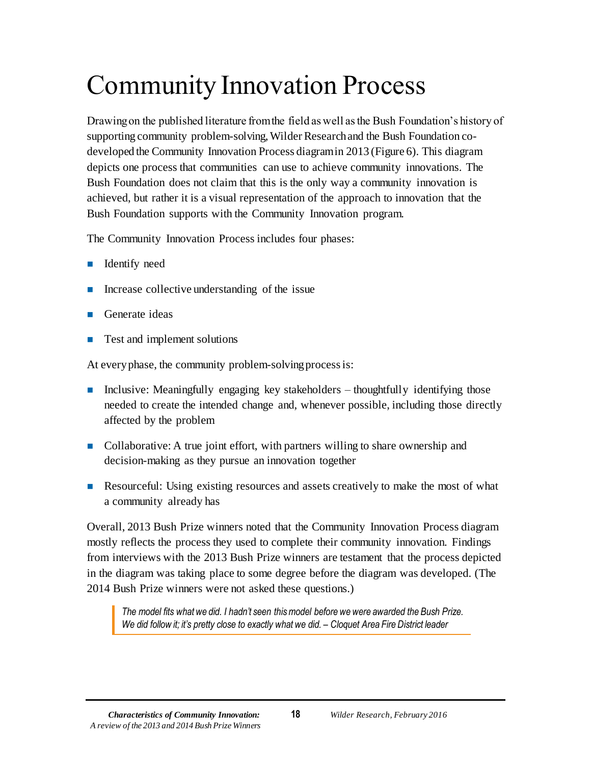# <span id="page-18-0"></span>Community Innovation Process

Drawing on the published literature from the field as well as the Bush Foundation's history of supporting community problem-solving, Wilder Research and the Bush Foundation codeveloped the Community Innovation Process diagram in 2013 (Figure 6). This diagram depicts one process that communities can use to achieve community innovations. The Bush Foundation does not claim that this is the only way a community innovation is achieved, but rather it is a visual representation of the approach to innovation that the Bush Foundation supports with the Community Innovation program.

The Community Innovation Process includes four phases:

- **I** Identify need
- $\blacksquare$  Increase collective understanding of the issue
- Generate ideas
- Test and implement solutions

At every phase, the community problem-solving process is:

- **Inclusive:** Meaningfully engaging key stakeholders thoughtfully identifying those needed to create the intended change and, whenever possible, including those directly affected by the problem
- Collaborative: A true joint effort, with partners willing to share ownership and decision-making as they pursue an innovation together
- **Resourceful:** Using existing resources and assets creatively to make the most of what a community already has

Overall, 2013 Bush Prize winners noted that the Community Innovation Process diagram mostly reflects the process they used to complete their community innovation. Findings from interviews with the 2013 Bush Prize winners are testament that the process depicted in the diagram was taking place to some degree before the diagram was developed. (The 2014 Bush Prize winners were not asked these questions.)

*The model fits what we did. I hadn't seen this model before we were awarded the Bush Prize. We did follow it; it's pretty close to exactly what we did. – Cloquet Area Fire District leader*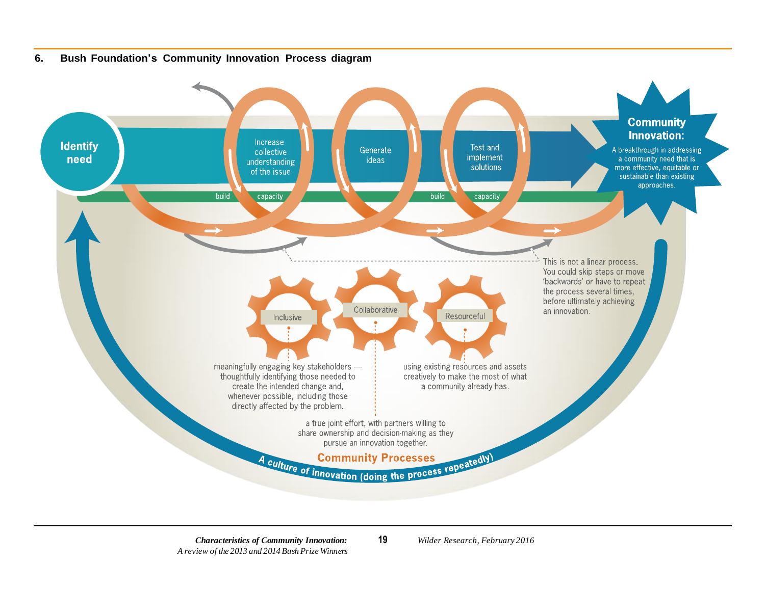<span id="page-19-0"></span>

#### **6. Bush Foundation's Community Innovation Process diagram**

*Characteristics of Community Innovation:* **19** *Wilder Research, February 2016 A review of the 2013 and 2014 Bush Prize Winners*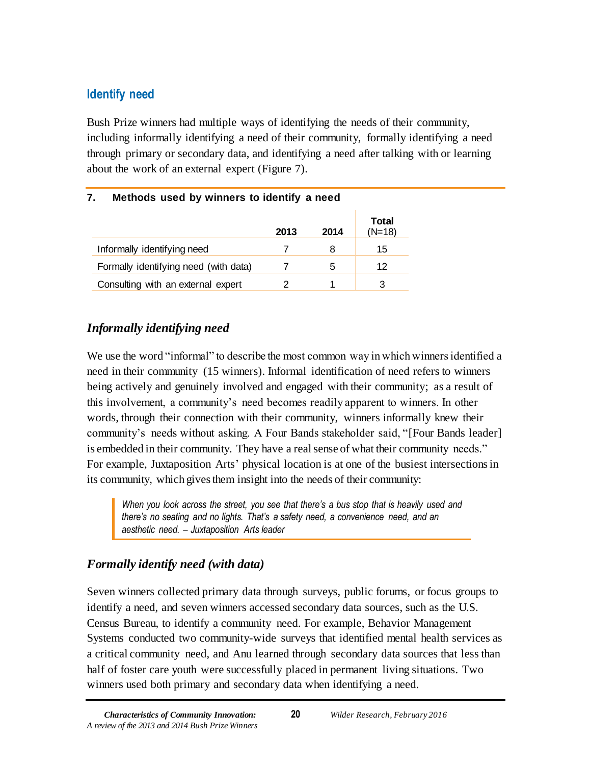## <span id="page-20-0"></span>**Identify need**

Bush Prize winners had multiple ways of identifying the needs of their community, including informally identifying a need of their community, formally identifying a need through primary or secondary data, and identifying a need after talking with or learning about the work of an external expert (Figure 7).

| . .<br><b>Metricas ased by williers to identify a need</b> |      |      |                   |
|------------------------------------------------------------|------|------|-------------------|
|                                                            | 2013 | 2014 | Total<br>$(N=18)$ |
| Informally identifying need                                |      | 8    | 15                |
| Formally identifying need (with data)                      |      | 5    | 12                |
| Consulting with an external expert                         |      |      | 3                 |

## <span id="page-20-1"></span>**7. Methods used by winners to identify a need**

## *Informally identifying need*

We use the word "informal" to describe the most common way in which winners identified a need in their community (15 winners). Informal identification of need refers to winners being actively and genuinely involved and engaged with their community; as a result of this involvement, a community's need becomes readily apparent to winners. In other words, through their connection with their community, winners informally knew their community's needs without asking. A Four Bands stakeholder said, "[Four Bands leader] is embedded in their community. They have a real sense of what their community needs." For example, Juxtaposition Arts' physical location is at one of the busiest intersections in its community, which gives them insight into the needs of their community:

*When you look across the street, you see that there's a bus stop that is heavily used and there's no seating and no lights. That's a safety need, a convenience need, and an aesthetic need. – Juxtaposition Arts leader*

## *Formally identify need (with data)*

Seven winners collected primary data through surveys, public forums, or focus groups to identify a need, and seven winners accessed secondary data sources, such as the U.S. Census Bureau, to identify a community need. For example, Behavior Management Systems conducted two community-wide surveys that identified mental health services as a critical community need, and Anu learned through secondary data sources that less than half of foster care youth were successfully placed in permanent living situations. Two winners used both primary and secondary data when identifying a need.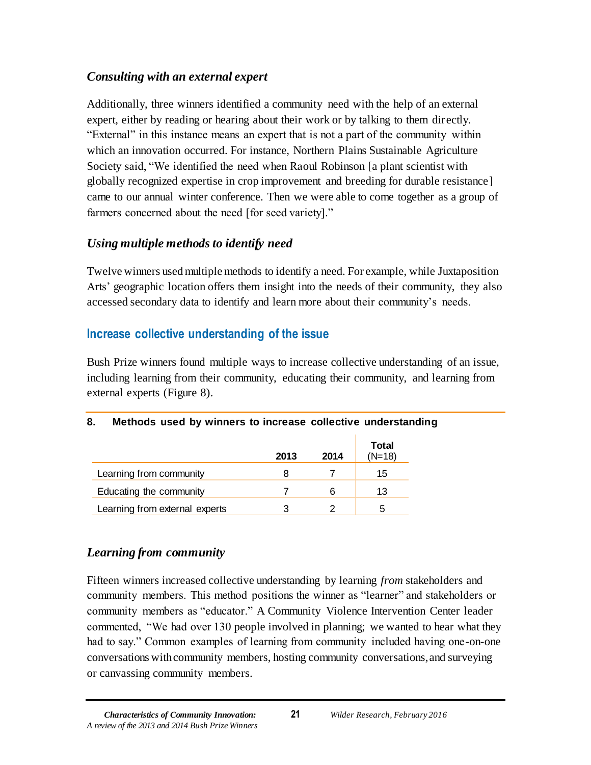## *Consulting with an external expert*

Additionally, three winners identified a community need with the help of an external expert, either by reading or hearing about their work or by talking to them directly. "External" in this instance means an expert that is not a part of the community within which an innovation occurred. For instance, Northern Plains Sustainable Agriculture Society said, "We identified the need when Raoul Robinson [a plant scientist with globally recognized expertise in crop improvement and breeding for durable resistance] came to our annual winter conference. Then we were able to come together as a group of farmers concerned about the need [for seed variety]."

## *Using multiple methods to identify need*

Twelve winners used multiple methods to identify a need. For example, while Juxtaposition Arts' geographic location offers them insight into the needs of their community, they also accessed secondary data to identify and learn more about their community's needs.

## <span id="page-21-0"></span>**Increase collective understanding of the issue**

Bush Prize winners found multiple ways to increase collective understanding of an issue, including learning from their community, educating their community, and learning from external experts (Figure 8).

## <span id="page-21-1"></span>**8. Methods used by winners to increase collective understanding**

|                                | 2013 | 2014 | <b>Total</b><br>$(N=18)$ |
|--------------------------------|------|------|--------------------------|
| Learning from community        |      |      | 15                       |
| Educating the community        |      | 6    | 13                       |
| Learning from external experts |      |      | 5                        |

## *Learning from community*

Fifteen winners increased collective understanding by learning *from* stakeholders and community members. This method positions the winner as "learner" and stakeholders or community members as "educator." A Community Violence Intervention Center leader commented, "We had over 130 people involved in planning; we wanted to hear what they had to say." Common examples of learning from community included having one-on-one conversations with community members, hosting community conversations, and surveying or canvassing community members.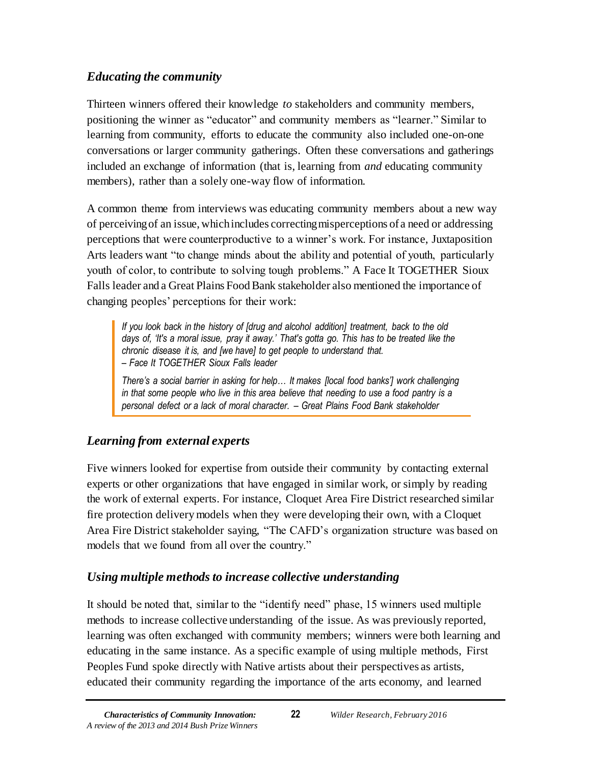## *Educating the community*

Thirteen winners offered their knowledge *to* stakeholders and community members, positioning the winner as "educator" and community members as "learner." Similar to learning from community, efforts to educate the community also included one-on-one conversations or larger community gatherings. Often these conversations and gatherings included an exchange of information (that is, learning from *and* educating community members), rather than a solely one-way flow of information.

A common theme from interviews was educating community members about a new way of perceiving of an issue, which includes correcting misperceptions of a need or addressing perceptions that were counterproductive to a winner's work. For instance, Juxtaposition Arts leaders want "to change minds about the ability and potential of youth, particularly youth of color, to contribute to solving tough problems." A Face It TOGETHER Sioux Falls leader and a Great Plains Food Bank stakeholder also mentioned the importance of changing peoples' perceptions for their work:

*If you look back in the history of [drug and alcohol addition] treatment, back to the old days of, 'It's a moral issue, pray it away.' That's gotta go. This has to be treated like the chronic disease it is, and [we have] to get people to understand that. – Face It TOGETHER Sioux Falls leader*

*There's a social barrier in asking for help… It makes [local food banks'] work challenging in that some people who live in this area believe that needing to use a food pantry is a personal defect or a lack of moral character. – Great Plains Food Bank stakeholder*

## *Learning from external experts*

Five winners looked for expertise from outside their community by contacting external experts or other organizations that have engaged in similar work, or simply by reading the work of external experts. For instance, Cloquet Area Fire District researched similar fire protection delivery models when they were developing their own, with a Cloquet Area Fire District stakeholder saying, "The CAFD's organization structure was based on models that we found from all over the country."

## *Using multiple methods to increase collective understanding*

It should be noted that, similar to the "identify need" phase, 15 winners used multiple methods to increase collective understanding of the issue. As was previously reported, learning was often exchanged with community members; winners were both learning and educating in the same instance. As a specific example of using multiple methods, First Peoples Fund spoke directly with Native artists about their perspectives as artists, educated their community regarding the importance of the arts economy, and learned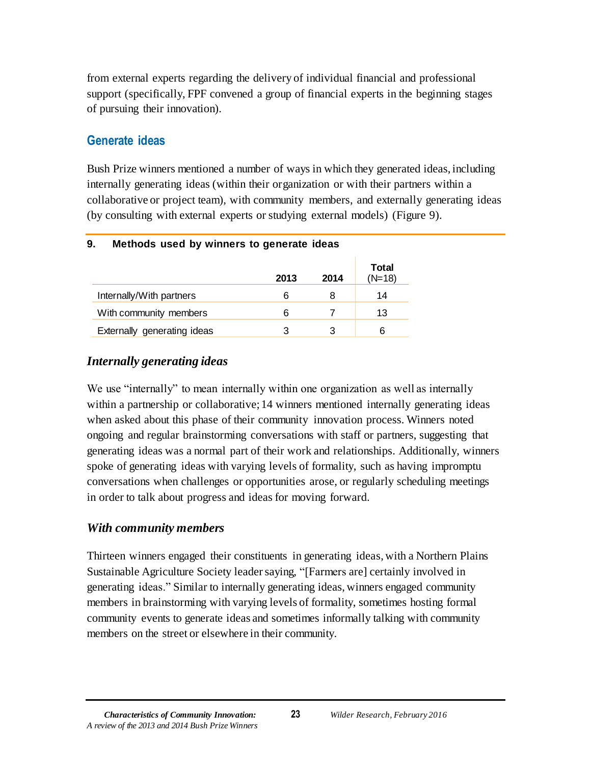from external experts regarding the delivery of individual financial and professional support (specifically, FPF convened a group of financial experts in the beginning stages of pursuing their innovation).

## <span id="page-23-0"></span>**Generate ideas**

Bush Prize winners mentioned a number of ways in which they generated ideas, including internally generating ideas (within their organization or with their partners within a collaborative or project team), with community members, and externally generating ideas (by consulting with external experts or studying external models) (Figure 9).

| . .<br>monious assumptions to gonorate rusus |      |      |                          |
|----------------------------------------------|------|------|--------------------------|
|                                              | 2013 | 2014 | <b>Total</b><br>$(N=18)$ |
| Internally/With partners                     | 6    | 8    | 14                       |
| With community members                       | 6    |      | 13                       |
| Externally generating ideas                  | 3    |      | 6                        |

#### <span id="page-23-1"></span>**9. Methods used by winners to generate ideas**

## *Internally generating ideas*

We use "internally" to mean internally within one organization as well as internally within a partnership or collaborative; 14 winners mentioned internally generating ideas when asked about this phase of their community innovation process. Winners noted ongoing and regular brainstorming conversations with staff or partners, suggesting that generating ideas was a normal part of their work and relationships. Additionally, winners spoke of generating ideas with varying levels of formality, such as having impromptu conversations when challenges or opportunities arose, or regularly scheduling meetings in order to talk about progress and ideas for moving forward.

#### *With community members*

Thirteen winners engaged their constituents in generating ideas, with a Northern Plains Sustainable Agriculture Society leader saying, "[Farmers are] certainly involved in generating ideas." Similar to internally generating ideas, winners engaged community members in brainstorming with varying levels of formality, sometimes hosting formal community events to generate ideas and sometimes informally talking with community members on the street or elsewhere in their community.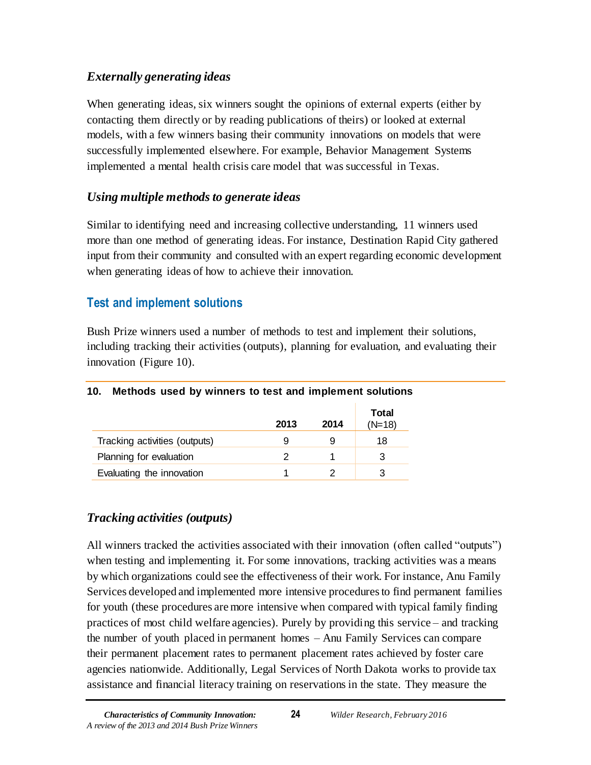## *Externally generating ideas*

When generating ideas, six winners sought the opinions of external experts (either by contacting them directly or by reading publications of theirs) or looked at external models, with a few winners basing their community innovations on models that were successfully implemented elsewhere. For example, Behavior Management Systems implemented a mental health crisis care model that was successful in Texas.

## *Using multiple methods to generate ideas*

Similar to identifying need and increasing collective understanding, 11 winners used more than one method of generating ideas. For instance, Destination Rapid City gathered input from their community and consulted with an expert regarding economic development when generating ideas of how to achieve their innovation.

## <span id="page-24-0"></span>**Test and implement solutions**

Bush Prize winners used a number of methods to test and implement their solutions, including tracking their activities (outputs), planning for evaluation, and evaluating their innovation (Figure 10).

|                               | 2013 | 2014 | Total<br>$(N=18)$ |
|-------------------------------|------|------|-------------------|
| Tracking activities (outputs) | 9    | 9    | 18                |
| Planning for evaluation       |      |      | 3                 |
| Evaluating the innovation     |      |      |                   |

## <span id="page-24-1"></span>**10. Methods used by winners to test and implement solutions**

## *Tracking activities (outputs)*

All winners tracked the activities associated with their innovation (often called "outputs") when testing and implementing it. For some innovations, tracking activities was a means by which organizations could see the effectiveness of their work. For instance, Anu Family Services developed and implemented more intensive procedures to find permanent families for youth (these procedures are more intensive when compared with typical family finding practices of most child welfare agencies). Purely by providing this service – and tracking the number of youth placed in permanent homes – Anu Family Services can compare their permanent placement rates to permanent placement rates achieved by foster care agencies nationwide. Additionally, Legal Services of North Dakota works to provide tax assistance and financial literacy training on reservations in the state. They measure the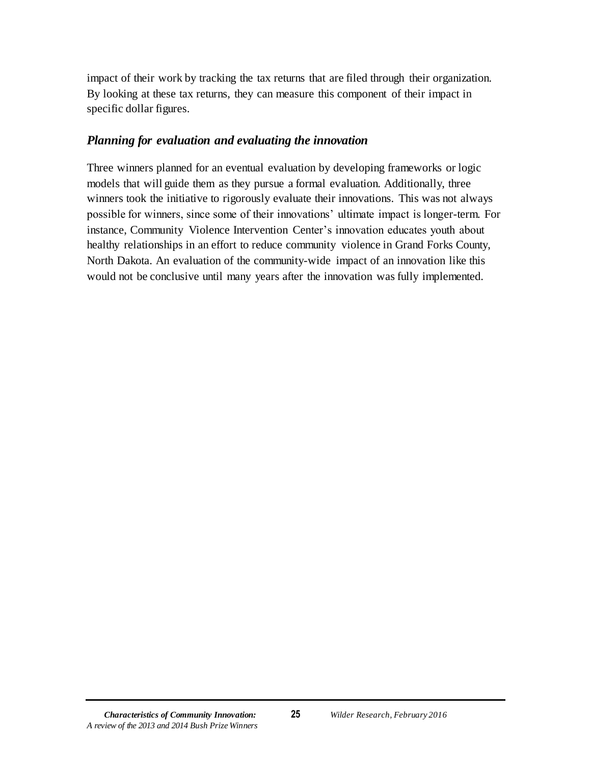impact of their work by tracking the tax returns that are filed through their organization. By looking at these tax returns, they can measure this component of their impact in specific dollar figures.

#### *Planning for evaluation and evaluating the innovation*

Three winners planned for an eventual evaluation by developing frameworks or logic models that will guide them as they pursue a formal evaluation. Additionally, three winners took the initiative to rigorously evaluate their innovations. This was not always possible for winners, since some of their innovations' ultimate impact is longer-term. For instance, Community Violence Intervention Center's innovation educates youth about healthy relationships in an effort to reduce community violence in Grand Forks County, North Dakota. An evaluation of the community-wide impact of an innovation like this would not be conclusive until many years after the innovation was fully implemented.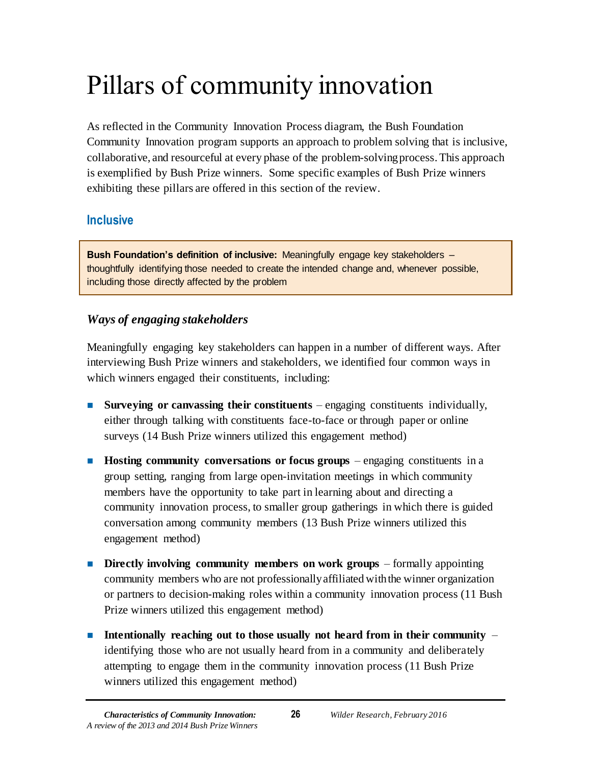# <span id="page-26-0"></span>Pillars of community innovation

As reflected in the Community Innovation Process diagram, the Bush Foundation Community Innovation program supports an approach to problem solving that is inclusive, collaborative, and resourceful at every phase of the problem-solving process. This approach is exemplified by Bush Prize winners. Some specific examples of Bush Prize winners exhibiting these pillars are offered in this section of the review.

## <span id="page-26-1"></span>**Inclusive**

**Bush Foundation's definition of inclusive:** Meaningfully engage key stakeholders – thoughtfully identifying those needed to create the intended change and, whenever possible, including those directly affected by the problem

## *Ways of engaging stakeholders*

Meaningfully engaging key stakeholders can happen in a number of different ways. After interviewing Bush Prize winners and stakeholders, we identified four common ways in which winners engaged their constituents, including:

- **Surveying or canvassing their constituents** engaging constituents individually, either through talking with constituents face-to-face or through paper or online surveys (14 Bush Prize winners utilized this engagement method)
- **Hosting community conversations or focus groups** engaging constituents in a group setting, ranging from large open-invitation meetings in which community members have the opportunity to take part in learning about and directing a community innovation process, to smaller group gatherings in which there is guided conversation among community members (13 Bush Prize winners utilized this engagement method)
- **Directly involving community members on work groups** formally appointing community members who are not professionally affiliated with the winner organization or partners to decision-making roles within a community innovation process (11 Bush Prize winners utilized this engagement method)
- **Intentionally reaching out to those usually not heard from in their community** identifying those who are not usually heard from in a community and deliberately attempting to engage them in the community innovation process (11 Bush Prize winners utilized this engagement method)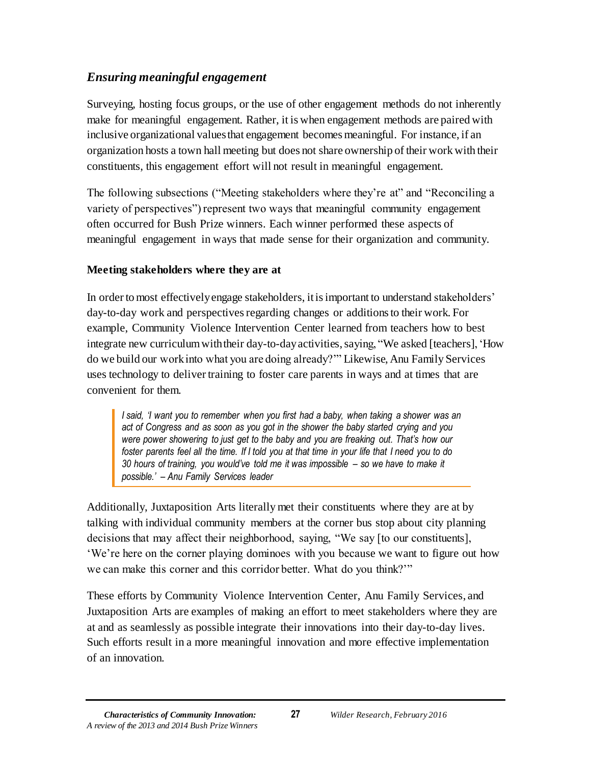## *Ensuring meaningful engagement*

Surveying, hosting focus groups, or the use of other engagement methods do not inherently make for meaningful engagement. Rather, it is when engagement methods are paired with inclusive organizational values that engagement becomes meaningful. For instance, if an organization hosts a town hall meeting but does not share ownership of their work with their constituents, this engagement effort will not result in meaningful engagement.

The following subsections ("Meeting stakeholders where they're at" and "Reconciling a variety of perspectives") represent two ways that meaningful community engagement often occurred for Bush Prize winners. Each winner performed these aspects of meaningful engagement in ways that made sense for their organization and community.

#### **Meeting stakeholders where they are at**

In order to most effectively engage stakeholders, it is important to understand stakeholders' day-to-day work and perspectives regarding changes or additions to their work. For example, Community Violence Intervention Center learned from teachers how to best integrate new curriculum with their day-to-day activities, saying, "We asked [teachers], 'How do we build our work into what you are doing already?'" Likewise, Anu Family Services uses technology to deliver training to foster care parents in ways and at times that are convenient for them.

*I said, 'I want you to remember when you first had a baby, when taking a shower was an act of Congress and as soon as you got in the shower the baby started crying and you were power showering to just get to the baby and you are freaking out. That's how our foster parents feel all the time. If I told you at that time in your life that I need you to do 30 hours of training, you would've told me it was impossible – so we have to make it possible.' – Anu Family Services leader*

Additionally, Juxtaposition Arts literally met their constituents where they are at by talking with individual community members at the corner bus stop about city planning decisions that may affect their neighborhood, saying, "We say [to our constituents], 'We're here on the corner playing dominoes with you because we want to figure out how we can make this corner and this corridor better. What do you think?'"

These efforts by Community Violence Intervention Center, Anu Family Services, and Juxtaposition Arts are examples of making an effort to meet stakeholders where they are at and as seamlessly as possible integrate their innovations into their day-to-day lives. Such efforts result in a more meaningful innovation and more effective implementation of an innovation.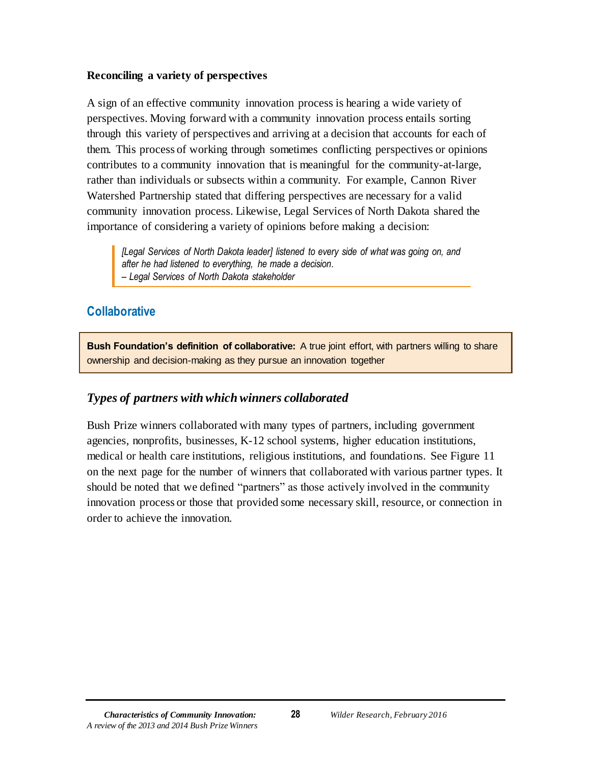#### **Reconciling a variety of perspectives**

A sign of an effective community innovation process is hearing a wide variety of perspectives. Moving forward with a community innovation process entails sorting through this variety of perspectives and arriving at a decision that accounts for each of them. This process of working through sometimes conflicting perspectives or opinions contributes to a community innovation that is meaningful for the community-at-large, rather than individuals or subsects within a community. For example, Cannon River Watershed Partnership stated that differing perspectives are necessary for a valid community innovation process. Likewise, Legal Services of North Dakota shared the importance of considering a variety of opinions before making a decision:

*[Legal Services of North Dakota leader] listened to every side of what was going on, and after he had listened to everything, he made a decision. – Legal Services of North Dakota stakeholder*

## <span id="page-28-0"></span>**Collaborative**

**Bush Foundation's definition of collaborative:** A true joint effort, with partners willing to share ownership and decision-making as they pursue an innovation together

## *Types of partners with which winners collaborated*

Bush Prize winners collaborated with many types of partners, including government agencies, nonprofits, businesses, K-12 school systems, higher education institutions, medical or health care institutions, religious institutions, and foundations. See Figure 11 on the next page for the number of winners that collaborated with various partner types. It should be noted that we defined "partners" as those actively involved in the community innovation process or those that provided some necessary skill, resource, or connection in order to achieve the innovation.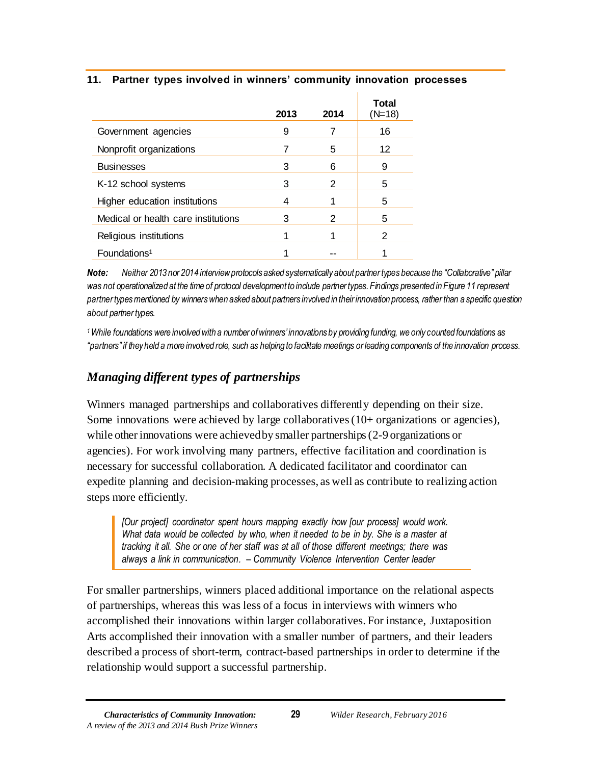#### <span id="page-29-0"></span>**11. Partner types involved in winners' community innovation processes**

|                                     | 2013 | 2014 | Total<br>$(N=18)$ |
|-------------------------------------|------|------|-------------------|
| Government agencies                 | 9    |      | 16                |
| Nonprofit organizations             |      | 5    | 12                |
| <b>Businesses</b>                   | 3    | 6    | 9                 |
| K-12 school systems                 | 3    | 2    | 5                 |
| Higher education institutions       | 4    |      | 5                 |
| Medical or health care institutions | 3    | 2    | 5                 |
| Religious institutions              |      |      | 2                 |
| Foundations <sup>1</sup>            |      |      |                   |

*Note: Neither 2013 nor 2014 interview protocols asked systematically about partner types because the "Collaborative" pillar was not operationalized at the time of protocol development to include partner types. Findings presented in Figure 11 represent partner types mentioned by winners when asked about partners involved in their innovation process, rather than a specific question about partner types.*

*<sup>1</sup>While foundations were involved with a number of winners' innovations by providing funding, we only counted foundations as*  "partners" if they held a more involved role, such as helping to facilitate meetings or leading components of the innovation process.

## *Managing different types of partnerships*

Winners managed partnerships and collaboratives differently depending on their size. Some innovations were achieved by large collaboratives (10+ organizations or agencies), while other innovations were achieved by smaller partnerships (2-9 organizations or agencies). For work involving many partners, effective facilitation and coordination is necessary for successful collaboration. A dedicated facilitator and coordinator can expedite planning and decision-making processes, as well as contribute to realizing action steps more efficiently.

*[Our project] coordinator spent hours mapping exactly how [our process] would work. What data would be collected by who, when it needed to be in by. She is a master at tracking it all. She or one of her staff was at all of those different meetings; there was always a link in communication. – Community Violence Intervention Center leader*

For smaller partnerships, winners placed additional importance on the relational aspects of partnerships, whereas this was less of a focus in interviews with winners who accomplished their innovations within larger collaboratives. For instance, Juxtaposition Arts accomplished their innovation with a smaller number of partners, and their leaders described a process of short-term, contract-based partnerships in order to determine if the relationship would support a successful partnership.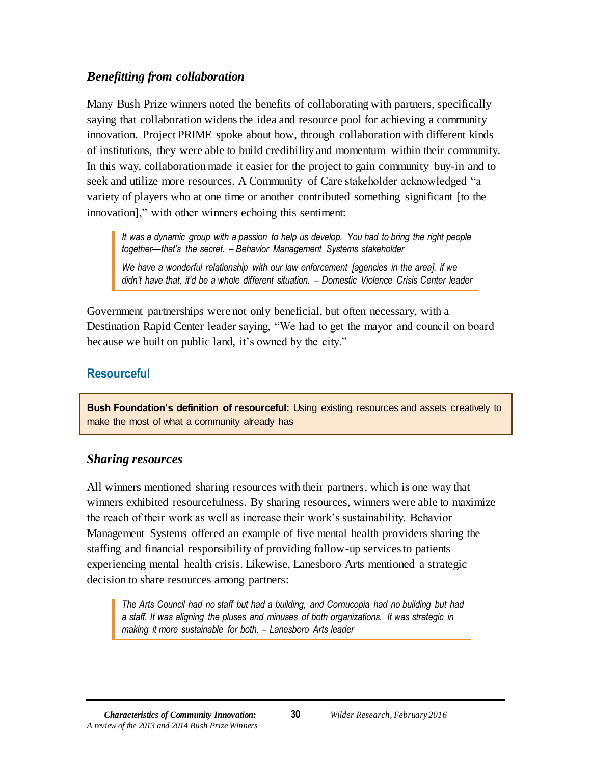#### *Benefitting from collaboration*

Many Bush Prize winners noted the benefits of collaborating with partners, specifically saying that collaboration widens the idea and resource pool for achieving a community innovation. Project PRIME spoke about how, through collaboration with different kinds of institutions, they were able to build credibility and momentum within their community. In this way, collaboration made it easier for the project to gain community buy-in and to seek and utilize more resources. A Community of Care stakeholder acknowledged "a variety of players who at one time or another contributed something significant [to the innovation]," with other winners echoing this sentiment:

*It was a dynamic group with a passion to help us develop. You had to bring the right people together—that's the secret. – Behavior Management Systems stakeholder*

*We have a wonderful relationship with our law enforcement [agencies in the area], if we didn't have that, it'd be a whole different situation. – Domestic Violence Crisis Center leader*

Government partnerships were not only beneficial, but often necessary, with a Destination Rapid Center leader saying, "We had to get the mayor and council on board because we built on public land, it's owned by the city."

## <span id="page-30-0"></span>**Resourceful**

**Bush Foundation's definition of resourceful:** Using existing resources and assets creatively to make the most of what a community already has

#### *Sharing resources*

All winners mentioned sharing resources with their partners, which is one way that winners exhibited resourcefulness. By sharing resources, winners were able to maximize the reach of their work as well as increase their work's sustainability. Behavior Management Systems offered an example of five mental health providers sharing the staffing and financial responsibility of providing follow-up services to patients experiencing mental health crisis. Likewise, Lanesboro Arts mentioned a strategic decision to share resources among partners:

*The Arts Council had no staff but had a building, and Cornucopia had no building but had a staff. It was aligning the pluses and minuses of both organizations. It was strategic in making it more sustainable for both. – Lanesboro Arts leader*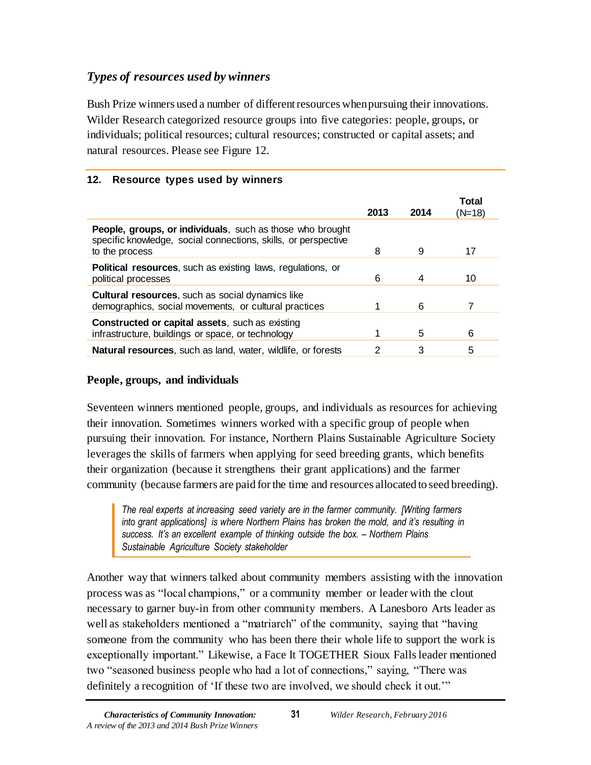## *Types of resources used by winners*

Bush Prize winners used a number of different resources when pursuing their innovations. Wilder Research categorized resource groups into five categories: people, groups, or individuals; political resources; cultural resources; constructed or capital assets; and natural resources. Please see Figure 12.

#### <span id="page-31-0"></span>**12. Resource types used by winners**

|                                                                                                                                                       | 2013 | 2014 | Total<br>(N=18) |
|-------------------------------------------------------------------------------------------------------------------------------------------------------|------|------|-----------------|
| <b>People, groups, or individuals</b> , such as those who brought<br>specific knowledge, social connections, skills, or perspective<br>to the process | 8    | 9    | 17              |
| <b>Political resources, such as existing laws, regulations, or</b><br>political processes                                                             | 6    | 4    | 10              |
| <b>Cultural resources, such as social dynamics like</b><br>demographics, social movements, or cultural practices                                      |      | 6    |                 |
| <b>Constructed or capital assets, such as existing</b><br>infrastructure, buildings or space, or technology                                           | 1    | 5    | 6               |
| <b>Natural resources, such as land, water, wildlife, or forests</b>                                                                                   | 2    | 3    | 5               |

### **People, groups, and individuals**

Seventeen winners mentioned people, groups, and individuals as resources for achieving their innovation. Sometimes winners worked with a specific group of people when pursuing their innovation. For instance, Northern Plains Sustainable Agriculture Society leverages the skills of farmers when applying for seed breeding grants, which benefits their organization (because it strengthens their grant applications) and the farmer community (because farmers are paid for the time and resources allocated to seed breeding).

*The real experts at increasing seed variety are in the farmer community. [Writing farmers into grant applications] is where Northern Plains has broken the mold, and it's resulting in success. It's an excellent example of thinking outside the box. – Northern Plains Sustainable Agriculture Society stakeholder*

Another way that winners talked about community members assisting with the innovation process was as "local champions," or a community member or leader with the clout necessary to garner buy-in from other community members. A Lanesboro Arts leader as well as stakeholders mentioned a "matriarch" of the community, saying that "having someone from the community who has been there their whole life to support the work is exceptionally important." Likewise, a Face It TOGETHER Sioux Fallsleader mentioned two "seasoned business people who had a lot of connections," saying, "There was definitely a recognition of 'If these two are involved, we should check it out.'"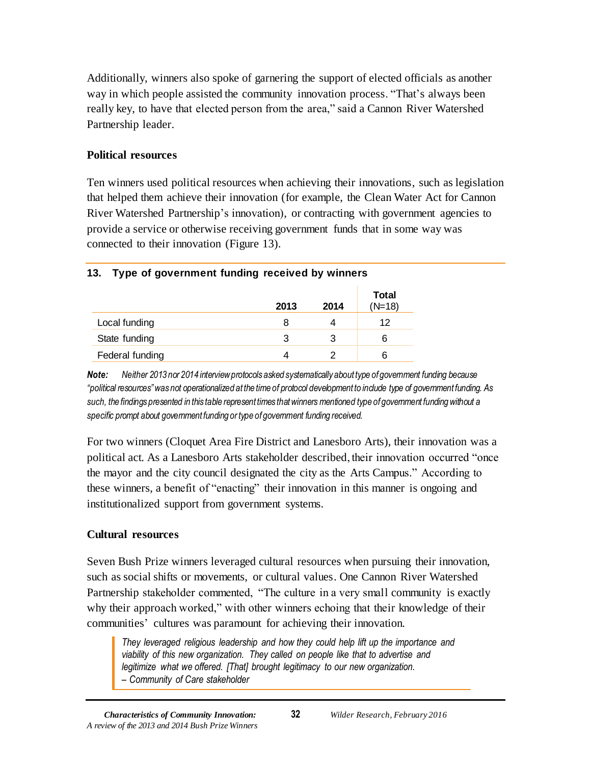Additionally, winners also spoke of garnering the support of elected officials as another way in which people assisted the community innovation process. "That's always been really key, to have that elected person from the area," said a Cannon River Watershed Partnership leader.

#### **Political resources**

Ten winners used political resources when achieving their innovations, such as legislation that helped them achieve their innovation (for example, the Clean Water Act for Cannon River Watershed Partnership's innovation), or contracting with government agencies to provide a service or otherwise receiving government funds that in some way was connected to their innovation (Figure 13).

# <span id="page-32-0"></span>**13. Type of government funding received by winners**

|                 | 2013 | 2014 | <b>Total</b><br>$(N=18)$ |
|-----------------|------|------|--------------------------|
| Local funding   |      | 4    | 12                       |
| State funding   |      | З    | 6                        |
| Federal funding |      |      | 6                        |

*Note: Neither 2013 nor 2014 interview protocols asked systematically about type of government funding because "political resources" was not operationalized at the time of protocol development to include type of government funding. As such, the findings presented in this table represent times that winners mentioned type of government funding without a specific prompt about government funding or type of government funding received.*

For two winners (Cloquet Area Fire District and Lanesboro Arts), their innovation was a political act. As a Lanesboro Arts stakeholder described, their innovation occurred "once the mayor and the city council designated the city as the Arts Campus." According to these winners, a benefit of "enacting" their innovation in this manner is ongoing and institutionalized support from government systems.

#### **Cultural resources**

Seven Bush Prize winners leveraged cultural resources when pursuing their innovation, such as social shifts or movements, or cultural values. One Cannon River Watershed Partnership stakeholder commented, "The culture in a very small community is exactly why their approach worked," with other winners echoing that their knowledge of their communities' cultures was paramount for achieving their innovation.

*They leveraged religious leadership and how they could help lift up the importance and viability of this new organization. They called on people like that to advertise and legitimize what we offered. [That] brought legitimacy to our new organization. – Community of Care stakeholder*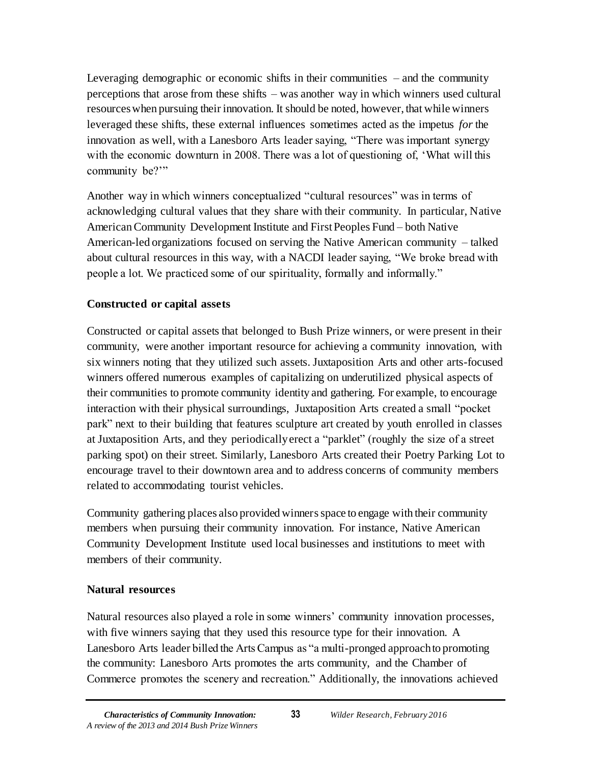Leveraging demographic or economic shifts in their communities – and the community perceptions that arose from these shifts – was another way in which winners used cultural resources when pursuing their innovation. It should be noted, however, that while winners leveraged these shifts, these external influences sometimes acted as the impetus *for* the innovation as well, with a Lanesboro Arts leader saying, "There was important synergy with the economic downturn in 2008. There was a lot of questioning of, 'What will this community be?"

Another way in which winners conceptualized "cultural resources" was in terms of acknowledging cultural values that they share with their community. In particular, Native American Community Development Institute and First Peoples Fund – both Native American-led organizations focused on serving the Native American community – talked about cultural resources in this way, with a NACDI leader saying, "We broke bread with people a lot. We practiced some of our spirituality, formally and informally."

#### **Constructed or capital assets**

Constructed or capital assets that belonged to Bush Prize winners, or were present in their community, were another important resource for achieving a community innovation, with six winners noting that they utilized such assets. Juxtaposition Arts and other arts-focused winners offered numerous examples of capitalizing on underutilized physical aspects of their communities to promote community identity and gathering. For example, to encourage interaction with their physical surroundings, Juxtaposition Arts created a small "pocket park" next to their building that features sculpture art created by youth enrolled in classes at Juxtaposition Arts, and they periodically erect a "parklet" (roughly the size of a street parking spot) on their street. Similarly, Lanesboro Arts created their Poetry Parking Lot to encourage travel to their downtown area and to address concerns of community members related to accommodating tourist vehicles.

Community gathering places also provided winnersspace to engage with their community members when pursuing their community innovation. For instance, Native American Community Development Institute used local businesses and institutions to meet with members of their community.

#### **Natural resources**

Natural resources also played a role in some winners' community innovation processes, with five winners saying that they used this resource type for their innovation. A Lanesboro Arts leader billed the Arts Campus as "a multi-pronged approach to promoting the community: Lanesboro Arts promotes the arts community, and the Chamber of Commerce promotes the scenery and recreation." Additionally, the innovations achieved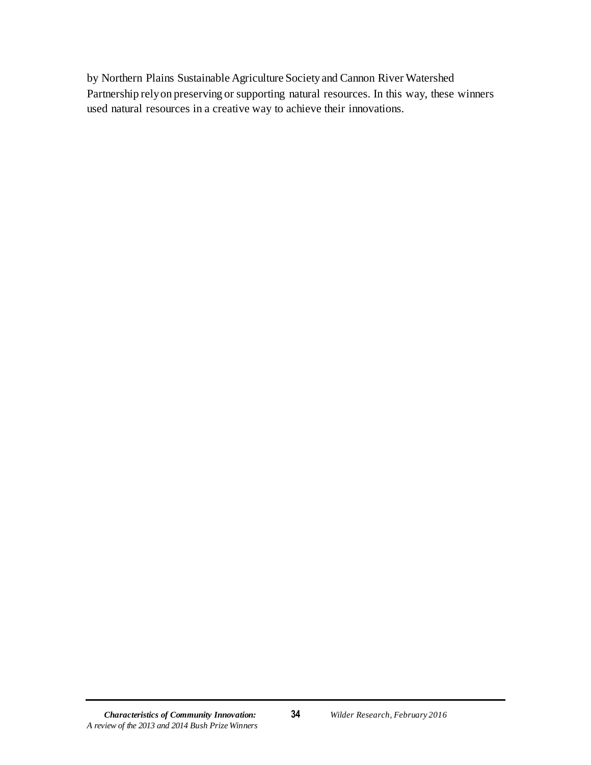by Northern Plains Sustainable Agriculture Society and Cannon River Watershed Partnership rely on preserving or supporting natural resources. In this way, these winners used natural resources in a creative way to achieve their innovations.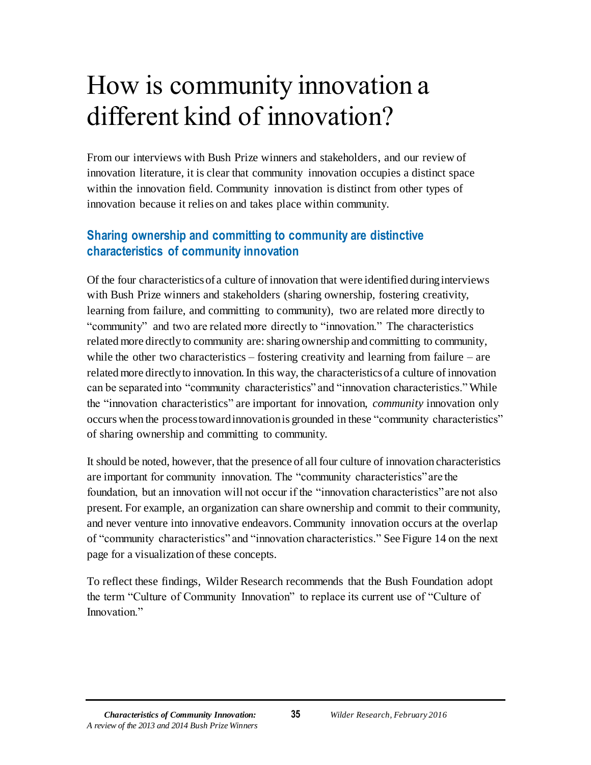# <span id="page-35-0"></span>How is community innovation a different kind of innovation?

From our interviews with Bush Prize winners and stakeholders, and our review of innovation literature, it is clear that community innovation occupies a distinct space within the innovation field. Community innovation is distinct from other types of innovation because it relies on and takes place within community.

## **Sharing ownership and committing to community are distinctive characteristics of community innovation**

Of the four characteristics of a culture of innovation that were identified duringinterviews with Bush Prize winners and stakeholders (sharing ownership, fostering creativity, learning from failure, and committing to community), two are related more directly to "community" and two are related more directly to "innovation." The characteristics related more directly to community are: sharing ownership and committing to community, while the other two characteristics – fostering creativity and learning from failure – are related more directly to innovation. In this way, the characteristics of a culture of innovation can be separated into "community characteristics" and "innovation characteristics." While the "innovation characteristics" are important for innovation, *community* innovation only occurs when the process toward innovation is grounded in these "community characteristics" of sharing ownership and committing to community.

It should be noted, however, that the presence of all four culture of innovation characteristics are important for community innovation. The "community characteristics" are the foundation, but an innovation will not occur if the "innovation characteristics" are not also present. For example, an organization can share ownership and commit to their community, and never venture into innovative endeavors. Community innovation occurs at the overlap of "community characteristics" and "innovation characteristics." See Figure 14 on the next page for a visualization of these concepts.

To reflect these findings, Wilder Research recommends that the Bush Foundation adopt the term "Culture of Community Innovation" to replace its current use of "Culture of Innovation."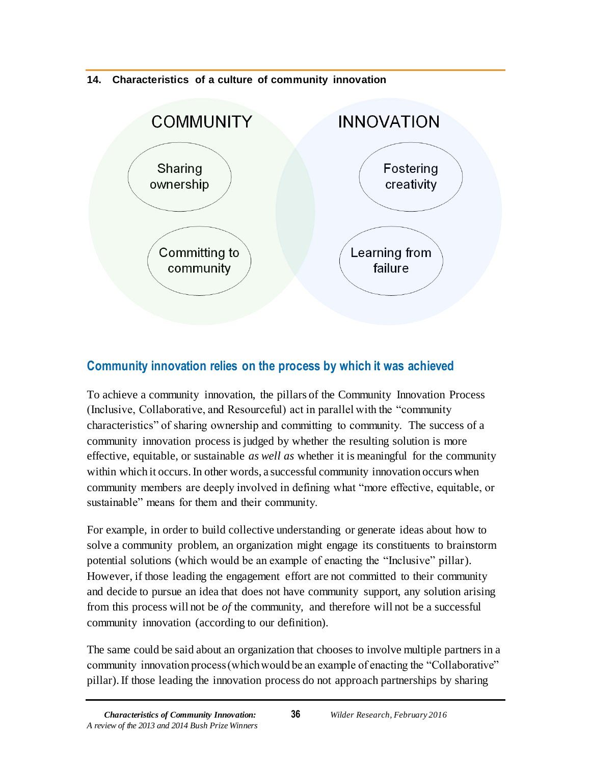#### <span id="page-36-0"></span>**14. Characteristics of a culture of community innovation**



## **Community innovation relies on the process by which it was achieved**

To achieve a community innovation, the pillars of the Community Innovation Process (Inclusive, Collaborative, and Resourceful) act in parallel with the "community characteristics" of sharing ownership and committing to community. The success of a community innovation process is judged by whether the resulting solution is more effective, equitable, or sustainable *as well as* whether it is meaningful for the community within which it occurs. In other words, a successful community innovation occurs when community members are deeply involved in defining what "more effective, equitable, or sustainable" means for them and their community.

For example, in order to build collective understanding or generate ideas about how to solve a community problem, an organization might engage its constituents to brainstorm potential solutions (which would be an example of enacting the "Inclusive" pillar). However, if those leading the engagement effort are not committed to their community and decide to pursue an idea that does not have community support, any solution arising from this process will not be *of* the community, and therefore will not be a successful community innovation (according to our definition).

The same could be said about an organization that chooses to involve multiple partners in a community innovation process (which would be an example of enacting the "Collaborative" pillar). If those leading the innovation process do not approach partnerships by sharing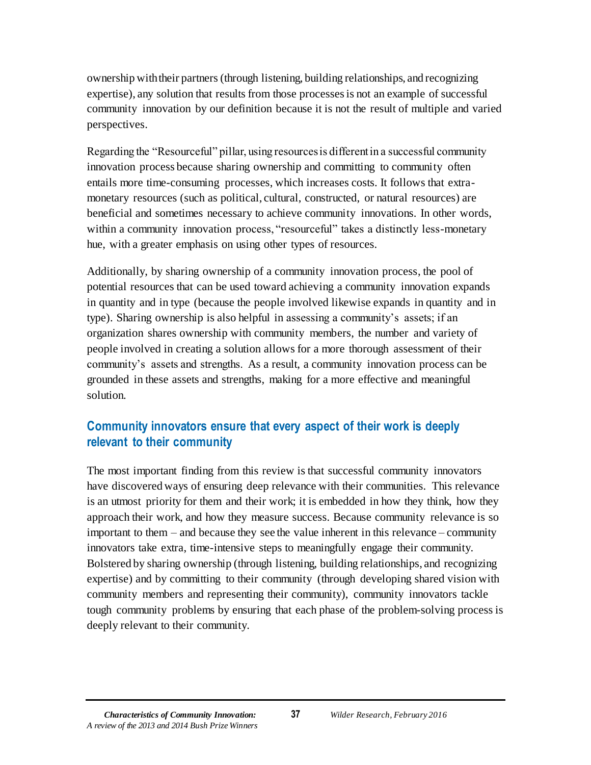ownership with their partners(through listening, building relationships, and recognizing expertise), any solution that results from those processes is not an example of successful community innovation by our definition because it is not the result of multiple and varied perspectives.

Regarding the "Resourceful" pillar, using resources is different in a successful community innovation process because sharing ownership and committing to community often entails more time-consuming processes, which increases costs. It follows that extramonetary resources (such as political, cultural, constructed, or natural resources) are beneficial and sometimes necessary to achieve community innovations. In other words, within a community innovation process, "resourceful" takes a distinctly less-monetary hue, with a greater emphasis on using other types of resources.

Additionally, by sharing ownership of a community innovation process, the pool of potential resources that can be used toward achieving a community innovation expands in quantity and in type (because the people involved likewise expands in quantity and in type). Sharing ownership is also helpful in assessing a community's assets; if an organization shares ownership with community members, the number and variety of people involved in creating a solution allows for a more thorough assessment of their community's assets and strengths. As a result, a community innovation process can be grounded in these assets and strengths, making for a more effective and meaningful solution.

## **Community innovators ensure that every aspect of their work is deeply relevant to their community**

The most important finding from this review is that successful community innovators have discovered ways of ensuring deep relevance with their communities. This relevance is an utmost priority for them and their work; it is embedded in how they think, how they approach their work, and how they measure success. Because community relevance is so important to them – and because they see the value inherent in this relevance – community innovators take extra, time-intensive steps to meaningfully engage their community. Bolstered by sharing ownership (through listening, building relationships, and recognizing expertise) and by committing to their community (through developing shared vision with community members and representing their community), community innovators tackle tough community problems by ensuring that each phase of the problem-solving process is deeply relevant to their community.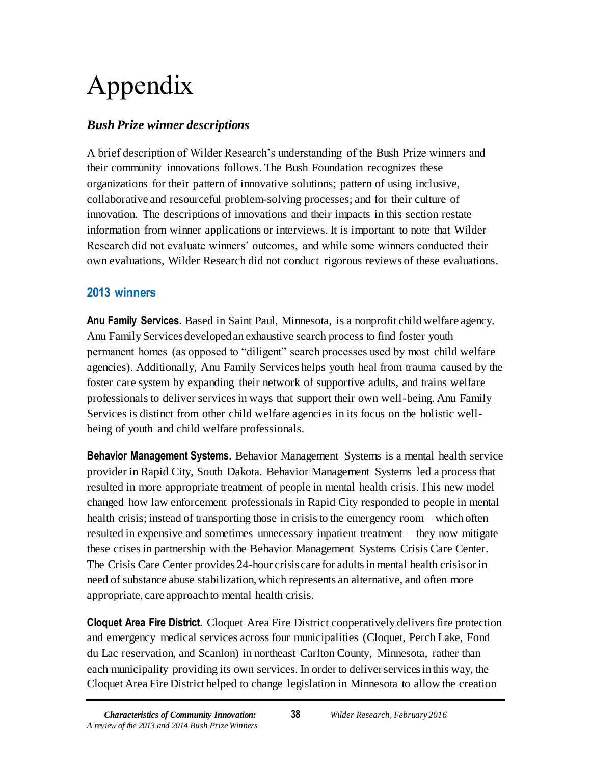# <span id="page-38-0"></span>Appendix

## *Bush Prize winner descriptions*

A brief description of Wilder Research's understanding of the Bush Prize winners and their community innovations follows. The Bush Foundation recognizes these organizations for their pattern of innovative solutions; pattern of using inclusive, collaborative and resourceful problem-solving processes; and for their culture of innovation. The descriptions of innovations and their impacts in this section restate information from winner applications or interviews. It is important to note that Wilder Research did not evaluate winners' outcomes, and while some winners conducted their own evaluations, Wilder Research did not conduct rigorous reviews of these evaluations.

## <span id="page-38-1"></span>**2013 winners**

**Anu Family Services.** Based in Saint Paul, Minnesota, is a nonprofit child welfare agency. Anu Family Services developed an exhaustive search process to find foster youth permanent homes (as opposed to "diligent" search processes used by most child welfare agencies). Additionally, Anu Family Services helps youth heal from trauma caused by the foster care system by expanding their network of supportive adults, and trains welfare professionals to deliver services in ways that support their own well-being. Anu Family Services is distinct from other child welfare agencies in its focus on the holistic wellbeing of youth and child welfare professionals.

**Behavior Management Systems.** Behavior Management Systems is a mental health service provider in Rapid City, South Dakota. Behavior Management Systems led a process that resulted in more appropriate treatment of people in mental health crisis. This new model changed how law enforcement professionals in Rapid City responded to people in mental health crisis; instead of transporting those in crisis to the emergency room – which often resulted in expensive and sometimes unnecessary inpatient treatment – they now mitigate these crises in partnership with the Behavior Management Systems Crisis Care Center. The Crisis Care Center provides 24-hour crisis care for adults in mental health crisis or in need of substance abuse stabilization, which represents an alternative, and often more appropriate, care approach to mental health crisis.

**Cloquet Area Fire District.** Cloquet Area Fire District cooperatively delivers fire protection and emergency medical services across four municipalities (Cloquet, Perch Lake, Fond du Lac reservation, and Scanlon) in northeast Carlton County, Minnesota, rather than each municipality providing its own services. In order to deliver services in this way, the Cloquet Area Fire District helped to change legislation in Minnesota to allow the creation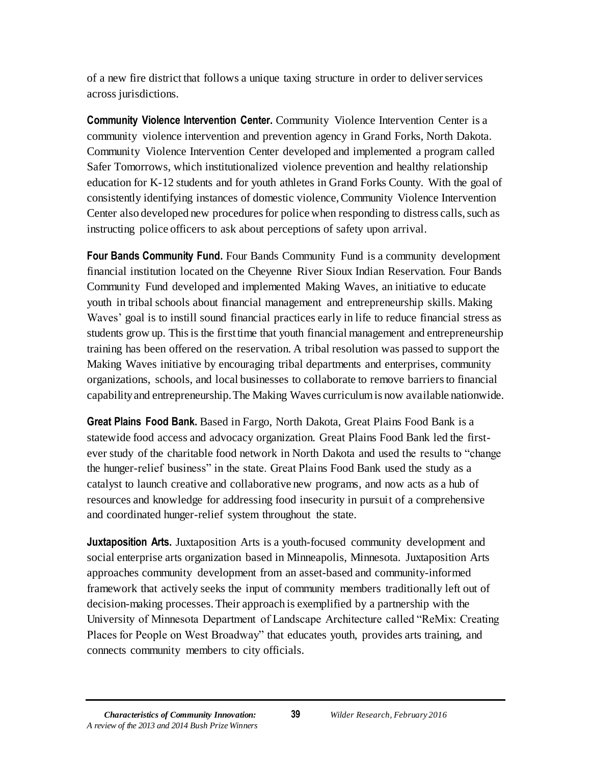of a new fire district that follows a unique taxing structure in order to deliver services across jurisdictions.

**Community Violence Intervention Center.** Community Violence Intervention Center is a community violence intervention and prevention agency in Grand Forks, North Dakota. Community Violence Intervention Center developed and implemented a program called Safer Tomorrows, which institutionalized violence prevention and healthy relationship education for K-12 students and for youth athletes in Grand Forks County. With the goal of consistently identifying instances of domestic violence, Community Violence Intervention Center also developed new procedures for police when responding to distress calls, such as instructing police officers to ask about perceptions of safety upon arrival.

**Four Bands Community Fund.** Four Bands Community Fund is a community development financial institution located on the Cheyenne River Sioux Indian Reservation. Four Bands Community Fund developed and implemented Making Waves, an initiative to educate youth in tribal schools about financial management and entrepreneurship skills. Making Waves' goal is to instill sound financial practices early in life to reduce financial stress as students grow up. This is the first time that youth financial management and entrepreneurship training has been offered on the reservation. A tribal resolution was passed to support the Making Waves initiative by encouraging tribal departments and enterprises, community organizations, schools, and local businesses to collaborate to remove barriers to financial capability and entrepreneurship. The Making Waves curriculum is now available nationwide.

**Great Plains Food Bank.** Based in Fargo, North Dakota, Great Plains Food Bank is a statewide food access and advocacy organization. Great Plains Food Bank led the firstever study of the charitable food network in North Dakota and used the results to "change the hunger-relief business" in the state. Great Plains Food Bank used the study as a catalyst to launch creative and collaborative new programs, and now acts as a hub of resources and knowledge for addressing food insecurity in pursuit of a comprehensive and coordinated hunger-relief system throughout the state.

**Juxtaposition Arts.** Juxtaposition Arts is a youth-focused community development and social enterprise arts organization based in Minneapolis, Minnesota. Juxtaposition Arts approaches community development from an asset-based and community-informed framework that actively seeks the input of community members traditionally left out of decision-making processes. Their approach is exemplified by a partnership with the University of Minnesota Department of Landscape Architecture called "ReMix: Creating Places for People on West Broadway" that educates youth, provides arts training, and connects community members to city officials.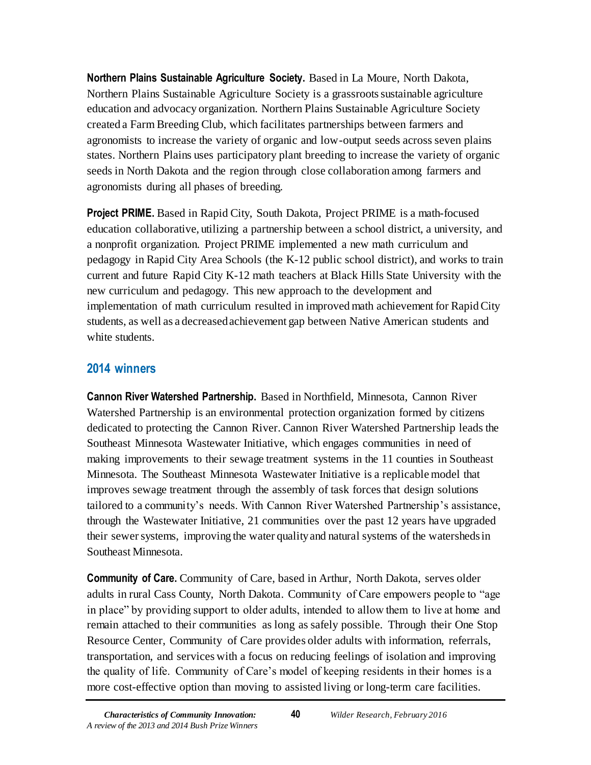**Northern Plains Sustainable Agriculture Society.** Based in La Moure, North Dakota, Northern Plains Sustainable Agriculture Society is a grassroots sustainable agriculture education and advocacy organization. Northern Plains Sustainable Agriculture Society created a Farm Breeding Club, which facilitates partnerships between farmers and agronomists to increase the variety of organic and low-output seeds across seven plains states. Northern Plains uses participatory plant breeding to increase the variety of organic seeds in North Dakota and the region through close collaboration among farmers and agronomists during all phases of breeding.

**Project PRIME.** Based in Rapid City, South Dakota, Project PRIME is a math-focused education collaborative, utilizing a partnership between a school district, a university, and a nonprofit organization. Project PRIME implemented a new math curriculum and pedagogy in Rapid City Area Schools (the K-12 public school district), and works to train current and future Rapid City K-12 math teachers at Black Hills State University with the new curriculum and pedagogy. This new approach to the development and implementation of math curriculum resulted in improved math achievement for Rapid City students, as well as a decreased achievement gap between Native American students and white students.

## <span id="page-40-0"></span>**2014 winners**

**Cannon River Watershed Partnership.** Based in Northfield, Minnesota, Cannon River Watershed Partnership is an environmental protection organization formed by citizens dedicated to protecting the Cannon River. Cannon River Watershed Partnership leads the Southeast Minnesota Wastewater Initiative, which engages communities in need of making improvements to their sewage treatment systems in the 11 counties in Southeast Minnesota. The Southeast Minnesota Wastewater Initiative is a replicable model that improves sewage treatment through the assembly of task forces that design solutions tailored to a community's needs. With Cannon River Watershed Partnership's assistance, through the Wastewater Initiative, 21 communities over the past 12 years have upgraded their sewer systems, improving the water quality and natural systems of the watersheds in Southeast Minnesota.

**Community of Care.** Community of Care, based in Arthur, North Dakota, serves older adults in rural Cass County, North Dakota. Community of Care empowers people to "age in place" by providing support to older adults, intended to allow them to live at home and remain attached to their communities as long as safely possible. Through their One Stop Resource Center, Community of Care provides older adults with information, referrals, transportation, and services with a focus on reducing feelings of isolation and improving the quality of life. Community of Care's model of keeping residents in their homes is a more cost-effective option than moving to assisted living or long-term care facilities.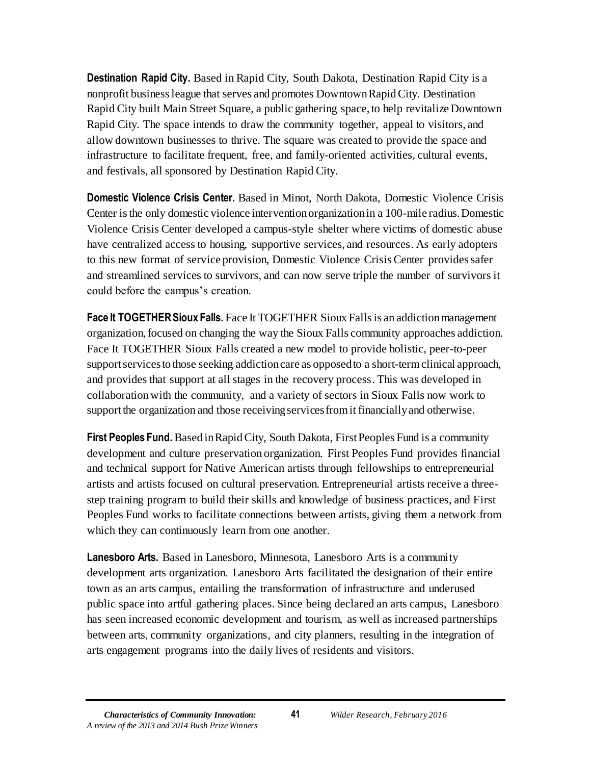**Destination Rapid City.** Based in Rapid City, South Dakota, Destination Rapid City is a nonprofit business league that serves and promotes Downtown Rapid City. Destination Rapid City built Main Street Square, a public gathering space, to help revitalize Downtown Rapid City. The space intends to draw the community together, appeal to visitors, and allow downtown businesses to thrive. The square was created to provide the space and infrastructure to facilitate frequent, free, and family-oriented activities, cultural events, and festivals, all sponsored by Destination Rapid City.

**Domestic Violence Crisis Center.** Based in Minot, North Dakota, Domestic Violence Crisis Center is the only domestic violence intervention organization in a 100-mile radius. Domestic Violence Crisis Center developed a campus-style shelter where victims of domestic abuse have centralized access to housing, supportive services, and resources. As early adopters to this new format of service provision, Domestic Violence Crisis Center provides safer and streamlined services to survivors, and can now serve triple the number of survivors it could before the campus's creation.

**Face It TOGETHERSioux Falls.** Face It TOGETHER Sioux Falls is an addiction management organization, focused on changing the way the Sioux Falls community approaches addiction. Face It TOGETHER Sioux Falls created a new model to provide holistic, peer-to-peer support services to those seeking addiction care as opposed to a short-term clinical approach, and provides that support at all stages in the recovery process. This was developed in collaboration with the community, and a variety of sectors in Sioux Falls now work to support the organization and those receiving services from it financially and otherwise.

**First Peoples Fund.** Based in Rapid City, South Dakota, First Peoples Fund is a community development and culture preservation organization. First Peoples Fund provides financial and technical support for Native American artists through fellowships to entrepreneurial artists and artists focused on cultural preservation. Entrepreneurial artists receive a threestep training program to build their skills and knowledge of business practices, and First Peoples Fund works to facilitate connections between artists, giving them a network from which they can continuously learn from one another.

**Lanesboro Arts.** Based in Lanesboro, Minnesota, Lanesboro Arts is a community development arts organization. Lanesboro Arts facilitated the designation of their entire town as an arts campus, entailing the transformation of infrastructure and underused public space into artful gathering places. Since being declared an arts campus, Lanesboro has seen increased economic development and tourism, as well as increased partnerships between arts, community organizations, and city planners, resulting in the integration of arts engagement programs into the daily lives of residents and visitors.